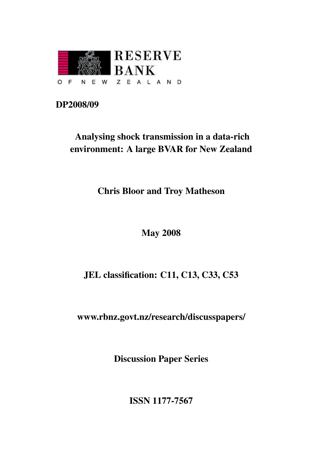

## DP2008/09

## Analysing shock transmission in a data-rich environment: A large BVAR for New Zealand

Chris Bloor and Troy Matheson

## May 2008

## JEL classification: C11, C13, C33, C53

[www.rbnz.govt.nz/research/discusspapers/](http://www.rbnz.govt.nz/research/discusspapers/)

Discussion Paper Series

ISSN 1177-7567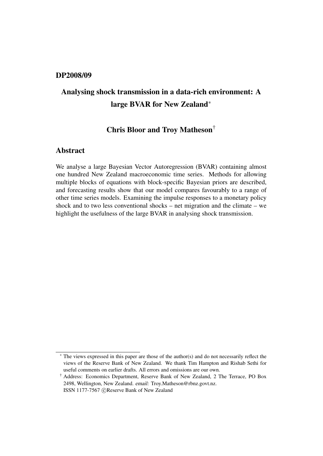#### DP2008/09

## Analysing shock transmission in a data-rich environment: A large BVAR for New Zealand<sup>∗</sup>

### Chris Bloor and Troy Matheson†

#### Abstract

We analyse a large Bayesian Vector Autoregression (BVAR) containing almost one hundred New Zealand macroeconomic time series. Methods for allowing multiple blocks of equations with block-specific Bayesian priors are described, and forecasting results show that our model compares favourably to a range of other time series models. Examining the impulse responses to a monetary policy shock and to two less conventional shocks – net migration and the climate – we highlight the usefulness of the large BVAR in analysing shock transmission.

<sup>∗</sup> The views expressed in this paper are those of the author(s) and do not necessarily reflect the views of the Reserve Bank of New Zealand. We thank Tim Hampton and Rishab Sethi for useful comments on earlier drafts. All errors and omissions are our own.

<sup>†</sup> Address: Economics Department, Reserve Bank of New Zealand, 2 The Terrace, PO Box 2498, Wellington, New Zealand. email: [Troy.Matheson@rbnz.govt.nz.](mailto:Troy.Matheson@rbnz.govt.nz) ISSN 1177-7567 c Reserve Bank of New Zealand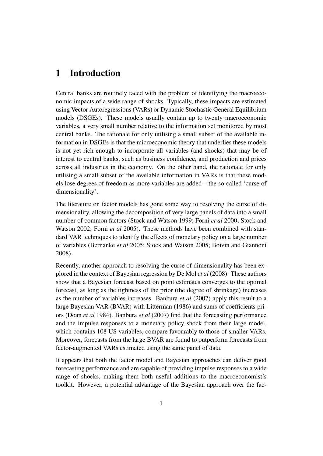## 1 Introduction

Central banks are routinely faced with the problem of identifying the macroeconomic impacts of a wide range of shocks. Typically, these impacts are estimated using Vector Autoregressions (VARs) or Dynamic Stochastic General Equilibrium models (DSGEs). These models usually contain up to twenty macroeconomic variables, a very small number relative to the information set monitored by most central banks. The rationale for only utilising a small subset of the available information in DSGEs is that the microeconomic theory that underlies these models is not yet rich enough to incorporate all variables (and shocks) that may be of interest to central banks, such as business confidence, and production and prices across all industries in the economy. On the other hand, the rationale for only utilising a small subset of the available information in VARs is that these models lose degrees of freedom as more variables are added – the so-called 'curse of dimensionality'.

The literature on factor models has gone some way to resolving the curse of dimensionality, allowing the decomposition of very large panels of data into a small number of common factors [\(Stock and Watson 1999;](#page-26-0) [Forni](#page-25-0) *et al* 2000; [Stock and](#page-26-1) [Watson 2002;](#page-26-1) [Forni](#page-25-1) *et al* 2005). These methods have been combined with standard VAR techniques to identify the effects of monetary policy on a large number of variables [\(Bernanke](#page-25-2) *et al* 2005; [Stock and Watson 2005;](#page-26-2) [Boivin and Giannoni](#page-25-3) [2008\)](#page-25-3).

Recently, another approach to resolving the curse of dimensionality has been explored in the context of Bayesian regression by [De Mol](#page-25-4) *et al* (2008). These authors show that a Bayesian forecast based on point estimates converges to the optimal forecast, as long as the tightness of the prior (the degree of shrinkage) increases as the number of variables increases. [Banbura](#page-25-5) *et al* (2007) apply this result to a large Bayesian VAR (BVAR) with [Litterman \(1986\)](#page-26-3) and sums of coefficients priors [\(Doan](#page-25-6) *et al* 1984). [Banbura](#page-25-5) *et al* (2007) find that the forecasting performance and the impulse responses to a monetary policy shock from their large model, which contains 108 US variables, compare favourably to those of smaller VARs. Moreover, forecasts from the large BVAR are found to outperform forecasts from factor-augmented VARs estimated using the same panel of data.

It appears that both the factor model and Bayesian approaches can deliver good forecasting performance and are capable of providing impulse responses to a wide range of shocks, making them both useful additions to the macroeconomist's toolkit. However, a potential advantage of the Bayesian approach over the fac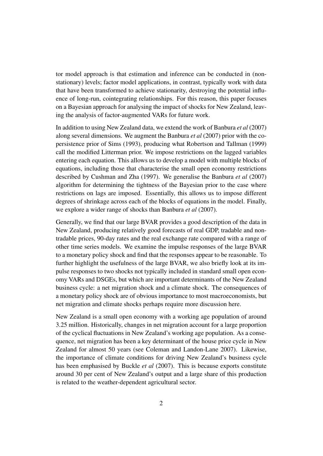tor model approach is that estimation and inference can be conducted in (nonstationary) levels; factor model applications, in contrast, typically work with data that have been transformed to achieve stationarity, destroying the potential influence of long-run, cointegrating relationships. For this reason, this paper focuses on a Bayesian approach for analysing the impact of shocks for New Zealand, leaving the analysis of factor-augmented VARs for future work.

In addition to using New Zealand data, we extend the work of [Banbura](#page-25-5) *et al* (2007) along several dimensions. We augment the [Banbura](#page-25-5) *et al* (2007) prior with the copersistence prior of [Sims \(1993\),](#page-26-4) producing what [Robertson and Tallman \(1999\)](#page-26-5) call the modified Litterman prior. We impose restrictions on the lagged variables entering each equation. This allows us to develop a model with multiple blocks of equations, including those that characterise the small open economy restrictions described by [Cushman and Zha \(1997\).](#page-25-7) We generalise the [Banbura](#page-25-5) *et al* (2007) algorithm for determining the tightness of the Bayesian prior to the case where restrictions on lags are imposed. Essentially, this allows us to impose different degrees of shrinkage across each of the blocks of equations in the model. Finally, we explore a wider range of shocks than [Banbura](#page-25-5) *et al* (2007).

Generally, we find that our large BVAR provides a good description of the data in New Zealand, producing relatively good forecasts of real GDP, tradable and nontradable prices, 90-day rates and the real exchange rate compared with a range of other time series models. We examine the impulse responses of the large BVAR to a monetary policy shock and find that the responses appear to be reasonable. To further highlight the usefulness of the large BVAR, we also briefly look at its impulse responses to two shocks not typically included in standard small open economy VARs and DSGEs, but which are important determinants of the New Zealand business cycle: a net migration shock and a climate shock. The consequences of a monetary policy shock are of obvious importance to most macroeconomists, but net migration and climate shocks perhaps require more discussion here.

New Zealand is a small open economy with a working age population of around 3.25 million. Historically, changes in net migration account for a large proportion of the cyclical fluctuations in New Zealand's working age population. As a consequence, net migration has been a key determinant of the house price cycle in New Zealand for almost 50 years (see [Coleman and Landon-Lane 2007\)](#page-25-8). Likewise, the importance of climate conditions for driving New Zealand's business cycle has been emphasised by [Buckle](#page-25-9) *et al* (2007). This is because exports constitute around 30 per cent of New Zealand's output and a large share of this production is related to the weather-dependent agricultural sector.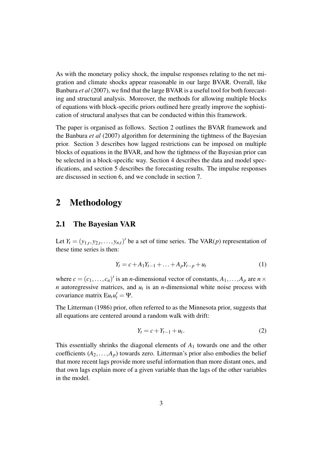As with the monetary policy shock, the impulse responses relating to the net migration and climate shocks appear reasonable in our large BVAR. Overall, like [Banbura](#page-25-5) *et al* (2007), we find that the large BVAR is a useful tool for both forecasting and structural analysis. Moreover, the methods for allowing multiple blocks of equations with block-specific priors outlined here greatly improve the sophistication of structural analyses that can be conducted within this framework.

The paper is organised as follows. Section [2](#page-4-0) outlines the BVAR framework and the [Banbura](#page-25-5) *et al* (2007) algorithm for determining the tightness of the Bayesian prior. Section [3](#page-9-0) describes how lagged restrictions can be imposed on multiple blocks of equations in the BVAR, and how the tightness of the Bayesian prior can be selected in a block-specific way. Section [4](#page-10-0) describes the data and model specifications, and section [5](#page-14-0) describes the forecasting results. The impulse responses are discussed in section [6,](#page-15-0) and we conclude in section [7.](#page-24-0)

### <span id="page-4-0"></span>2 Methodology

#### 2.1 The Bayesian VAR

Let  $Y_t = (y_{1,t}, y_{2,t}, \ldots, y_{n,t})'$  be a set of time series. The VAR(*p*) representation of these time series is then:

$$
Y_t = c + A_1 Y_{t-1} + \ldots + A_p Y_{t-p} + u_t \tag{1}
$$

where  $c = (c_1, \ldots, c_n)'$  is an *n*-dimensional vector of constants,  $A_1, \ldots, A_p$  are  $n \times$ *n* autoregressive matrices, and  $u_t$  is an *n*-dimensional white noise process with covariance matrix  $E u_t u'_t = \Psi$ .

The [Litterman \(1986\)](#page-26-3) prior, often referred to as the Minnesota prior, suggests that all equations are centered around a random walk with drift:

$$
Y_t = c + Y_{t-1} + u_t.
$$
 (2)

This essentially shrinks the diagonal elements of *A*<sup>1</sup> towards one and the other coefficients  $(A_2, \ldots, A_p)$  towards zero. Litterman's prior also embodies the belief that more recent lags provide more useful information than more distant ones, and that own lags explain more of a given variable than the lags of the other variables in the model.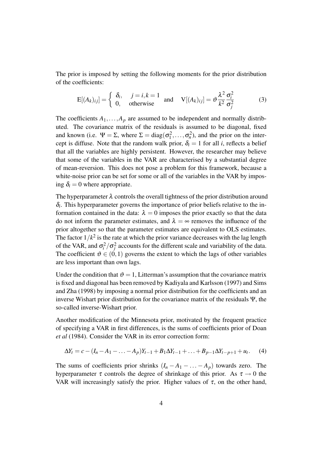The prior is imposed by setting the following moments for the prior distribution of the coefficients:

$$
E[(A_k)_{ij}] = \begin{cases} \delta_i, & j = i, k = 1 \\ 0, & \text{otherwise} \end{cases} \text{ and } V[(A_k)_{ij}] = \vartheta \frac{\lambda^2}{k^2} \frac{\sigma_i^2}{\sigma_j^2}
$$
(3)

The coefficients  $A_1, \ldots, A_p$  are assumed to be independent and normally distributed. The covariance matrix of the residuals is assumed to be diagonal, fixed and known (i.e.  $\Psi = \Sigma$ , where  $\Sigma = diag(\sigma_1^2, \dots, \sigma_n^2)$ , and the prior on the intercept is diffuse. Note that the random walk prior,  $\delta_i = 1$  for all *i*, reflects a belief that all the variables are highly persistent. However, the researcher may believe that some of the variables in the VAR are characterised by a substantial degree of mean-reversion. This does not pose a problem for this framework, because a white-noise prior can be set for some or all of the variables in the VAR by imposing  $\delta_i = 0$  where appropriate.

The hyperparameter  $\lambda$  controls the overall tightness of the prior distribution around  $\delta_i$ . This hyperparameter governs the importance of prior beliefs relative to the information contained in the data:  $\lambda = 0$  imposes the prior exactly so that the data do not inform the parameter estimates, and  $\lambda = \infty$  removes the influence of the prior altogether so that the parameter estimates are equivalent to OLS estimates. The factor  $1/k^2$  is the rate at which the prior variance decreases with the lag length of the VAR, and  $\sigma_i^2/\sigma_j^2$  accounts for the different scale and variability of the data. The coefficient  $\vartheta \in (0,1)$  governs the extent to which the lags of other variables are less important than own lags.

Under the condition that  $\vartheta = 1$ , Litterman's assumption that the covariance matrix is fixed and diagonal has been removed by [Kadiyala and Karlsson \(1997\)](#page-26-6) and [Sims](#page-26-7) [and Zha \(1998\)](#page-26-7) by imposing a normal prior distribution for the coefficients and an inverse Wishart prior distribution for the covariance matrix of the residuals Ψ, the so-called inverse-Wishart prior.

Another modification of the Minnesota prior, motivated by the frequent practice of specifying a VAR in first differences, is the sums of coefficients prior of [Doan](#page-25-6) *et al* [\(1984\).](#page-25-6) Consider the VAR in its error correction form:

$$
\Delta Y_t = c - (I_n - A_1 - \dots - A_p)Y_{t-1} + B_1 \Delta Y_{t-1} + \dots + B_{p-1} \Delta Y_{t-p+1} + u_t. \tag{4}
$$

The sums of coefficients prior shrinks  $(I_n - A_1 - \ldots - A_p)$  towards zero. The hyperparameter  $\tau$  controls the degree of shrinkage of this prior. As  $\tau \rightarrow 0$  the VAR will increasingly satisfy the prior. Higher values of  $\tau$ , on the other hand,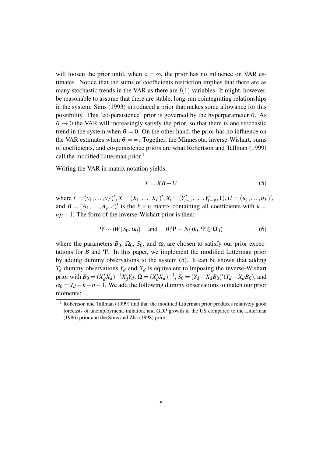will loosen the prior until, when  $\tau = \infty$ , the prior has no influence on VAR estimates. Notice that the sums of coefficients restriction implies that there are as many stochastic trends in the VAR as there are  $I(1)$  variables. It might, however, be reasonable to assume that there are stable, long-run cointegrating relationships in the system. [Sims \(1993\)](#page-26-4) introduced a prior that makes some allowance for this possibility. This 'co-persistence' prior is governed by the hyperparameter  $\theta$ . As  $\theta \rightarrow 0$  the VAR will increasingly satisfy the prior, so that there is one stochastic trend in the system when  $\theta = 0$ . On the other hand, the prior has no influence on the VAR estimates when  $\theta = \infty$ . Together, the Minnesota, inverse-Wishart, sums of coefficients, and co-persistence priors are what [Robertson and Tallman \(1999\)](#page-26-5) call the modified Litterman prior.<sup>[1](#page-6-0)</sup>

Writing the VAR in matrix notation yields:

<span id="page-6-1"></span>
$$
Y = XB + U \tag{5}
$$

where  $Y = (y_1, ..., y_T)$ ',  $X = (X_1, ..., X_T)$ ',  $X_t = (Y'_{t-1}, ..., Y'_{t-p}, 1)$ ,  $U = (u_1, ..., u_T)$ ', and  $B = (A_1, \ldots, A_p, c)'$  is the  $k \times n$  matrix containing all coefficients with  $k =$  $np+1$ . The form of the inverse-Wishart prior is then:

$$
\Psi \sim iW(S_0, \alpha_0) \quad \text{and} \quad B|\Psi \sim N(B_0, \Psi \otimes \Omega_0) \tag{6}
$$

where the parameters  $B_0$ ,  $\Omega_0$ ,  $S_0$ , and  $\alpha_0$  are chosen to satisfy our prior expectations for *B* and Ψ. In this paper, we implement the modified Litterman prior by adding dummy observations to the system [\(5\)](#page-6-1). It can be shown that adding  $T_d$  dummy observations  $Y_d$  and  $X_d$  is equivalent to imposing the inverse-Wishart prior with  $B_0 = (X'_a)$  $\binom{d}{d} X_d$ <sup> $-1$ </sup> $X'_d$  $\alpha'$ <sup>*d*</sup> $Y_d$ , Ω = ( $X'_d$  $J_d'X_d$ )<sup>-1</sup>, *S*<sub>0</sub> = (*Y*<sub>*d*</sub> − *X*<sub>*d*</sub>*B*<sub>0</sub>)'(*Y*<sub>*d*</sub> − *X*<sub>*d*</sub>*B*<sub>0</sub>), and  $\alpha_0 = T_d - k - n - 1$ . We add the following dummy observations to match our prior moments:

<span id="page-6-0"></span><sup>&</sup>lt;sup>1</sup> Robertson [and Tallman \(1999\)](#page-26-5) find that the modified Litterman prior produces relatively good forecasts of unemployment, inflation, and GDP growth in the US compared to the [Litterman](#page-26-3) [\(1986\)](#page-26-3) prior and the [Sims and Zha \(1998\)](#page-26-7) prior.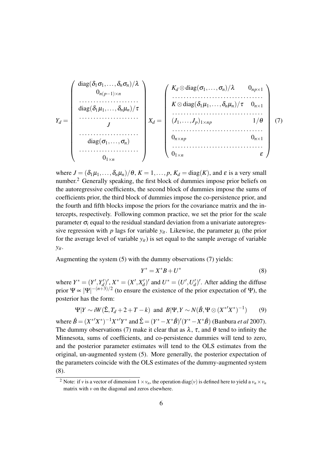<span id="page-7-1"></span>
$$
Y_d = \begin{pmatrix} \text{diag}(\delta_1 \sigma_1, \dots, \delta_n \sigma_n) / \lambda \\ 0_{n(p-1) \times n} \\ \vdots \\ \text{diag}(\delta_1 \mu_1, \dots, \delta_n \mu_n) / \tau \\ \vdots \\ \text{diag}(\sigma_1, \dots, \sigma_n) \\ \vdots \\ \text{diag}(\sigma_1, \dots, \sigma_n) \\ 0_{1 \times n} \end{pmatrix} X_d = \begin{pmatrix} K_d \otimes \text{diag}(\sigma_1, \dots, \sigma_n) / \lambda & 0_{np \times 1} \\ \vdots \\ K \otimes \text{diag}(\delta_1 \mu_1, \dots, \delta_n \mu_n) / \tau & 0_{n \times 1} \\ \vdots \\ (J_1, \dots, J_p)_{1 \times np} & 1 / \theta \\ 0_{n \times np} & 0_{n \times 1} \\ 0_{1 \times n} & \epsilon \end{pmatrix} (7)
$$

where  $J = (\delta_1 \mu_1, \ldots, \delta_n \mu_n) / \theta$ ,  $K = 1, \ldots, p$ ,  $K_d = \text{diag}(K)$ , and  $\varepsilon$  is a very small number.<sup>[2](#page-7-0)</sup> Generally speaking, the first block of dummies impose prior beliefs on the autoregressive coefficients, the second block of dummies impose the sums of coefficients prior, the third block of dummies impose the co-persistence prior, and the fourth and fifth blocks impose the priors for the covariance matrix and the intercepts, respectively. Following common practice, we set the prior for the scale parameter  $\sigma_i$  equal to the residual standard deviation from a univariate autoregressive regression with *p* lags for variable  $y_{it}$ . Likewise, the parameter  $\mu_i$  (the prior for the average level of variable  $y_{it}$ ) is set equal to the sample average of variable *yit*.

Augmenting the system [\(5\)](#page-6-1) with the dummy observations [\(7\)](#page-7-1) yields:

<span id="page-7-2"></span>
$$
Y^* = X^*B + U^* \tag{8}
$$

where  $Y^* = (Y', Y'_d)$  $(X'_{d})', X^{*} = (X', X'_{d})$  $(U'_d)'$  and  $U^* = (U', U'_d)$  $d$ <sup> $d$ </sup>)<sup>'</sup>. After adding the diffuse prior  $\Psi \propto |\Psi|^{-(n+3)/2}$  (to ensure the existence of the prior expectation of  $\Psi$ ), the posterior has the form:

<span id="page-7-3"></span>
$$
\Psi|Y \sim iW(\hat{\Sigma}, T_d + 2 + T - k) \text{ and } B|\Psi, Y \sim N(\hat{B}, \Psi \otimes (X^{*'}X^{*})^{-1}) \tag{9}
$$

where  $\hat{B} = (X^{*'}X^{*})^{-1}X^{*'}Y^{*}$  and  $\hat{\Sigma} = (Y^{*} - X^{*}\hat{B})'(Y^{*} - X^{*}\hat{B})$  [\(Banbura](#page-25-5) *et al* 2007). The dummy observations [\(7\)](#page-7-1) make it clear that as  $\lambda$ ,  $\tau$ , and  $\theta$  tend to infinity the Minnesota, sums of coefficients, and co-persistence dummies will tend to zero, and the posterior parameter estimates will tend to the OLS estimates from the original, un-augmented system [\(5\)](#page-6-1). More generally, the posterior expectation of the parameters coincide with the OLS estimates of the dummy-augmented system [\(8\)](#page-7-2).

<span id="page-7-0"></span><sup>&</sup>lt;sup>2</sup> Note: if *v* is a vector of dimension  $1 \times v_n$ , the operation diag(*v*) is defined here to yield a  $v_n \times v_n$ matrix with *v* on the diagonal and zeros elsewhere.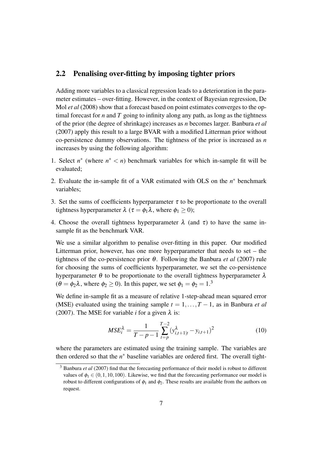#### <span id="page-8-1"></span>2.2 Penalising over-fitting by imposing tighter priors

Adding more variables to a classical regression leads to a deterioration in the parameter estimates – over-fitting. However, in the context of Bayesian regression, [De](#page-25-4) Mol *et al* [\(2008\)](#page-25-4) show that a forecast based on point estimates converges to the optimal forecast for  $n$  and  $T$  going to infinity along any path, as long as the tightness of the prior (the degree of shrinkage) increases as *n* becomes larger. [Banbura](#page-25-5) *et al* [\(2007\)](#page-25-5) apply this result to a large BVAR with a modified Litterman prior without co-persistence dummy observations. The tightness of the prior is increased as *n* increases by using the following algorithm:

- 1. Select  $n^*$  (where  $n^* < n$ ) benchmark variables for which in-sample fit will be evaluated;
- 2. Evaluate the in-sample fit of a VAR estimated with OLS on the  $n^*$  benchmark variables;
- 3. Set the sums of coefficients hyperparameter  $\tau$  to be proportionate to the overall tightness hyperparameter  $\lambda$  ( $\tau = \phi_1 \lambda$ , where  $\phi_1 \ge 0$ );
- 4. Choose the overall tightness hyperparameter  $\lambda$  (and  $\tau$ ) to have the same insample fit as the benchmark VAR.

We use a similar algorithm to penalise over-fitting in this paper. Our modified Litterman prior, however, has one more hyperparameter that needs to set – the tightness of the co-persistence prior  $\theta$ . Following the [Banbura](#page-25-5) *et al* (2007) rule for choosing the sums of coefficients hyperparameter, we set the co-persistence hyperparameter  $\theta$  to be proportionate to the overall tightness hyperparameter  $\lambda$  $(\theta = \phi_2 \lambda)$ , where  $\phi_2 \ge 0$ . In this paper, we set  $\phi_1 = \phi_2 = 1.3$  $\phi_1 = \phi_2 = 1.3$ 

We define in-sample fit as a measure of relative 1-step-ahead mean squared error (MSE) evaluated using the training sample  $t = 1, \ldots, T-1$ , as in [Banbura](#page-25-5) *et al* [\(2007\).](#page-25-5) The MSE for variable *i* for a given  $\lambda$  is:

$$
MSE_i^{\lambda} = \frac{1}{T - p - 1} \sum_{t=p}^{T-2} (y_{i,t+1|t}^{\lambda} - y_{i,t+1})^2
$$
 (10)

where the parameters are estimated using the training sample. The variables are then ordered so that the  $n^*$  baseline variables are ordered first. The overall tight-

<span id="page-8-0"></span><sup>3</sup> [Banbura](#page-25-5) *et al* (2007) find that the forecasting performance of their model is robust to different values of  $\phi_1 \in (0,1,10,100)$ . Likewise, we find that the forecasting performance our model is robust to different configurations of  $\phi_1$  and  $\phi_2$ . These results are available from the authors on request.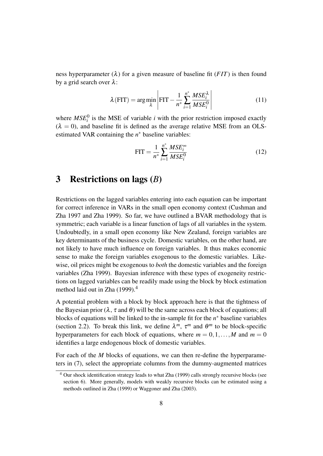ness hyperparameter  $(\lambda)$  for a given measure of baseline fit (*FIT*) is then found by a grid search over  $\lambda$ :

$$
\lambda(\text{FIT}) = \arg\min_{\lambda} \left| \text{FIT} - \frac{1}{n^*} \sum_{i=1}^{n^*} \frac{MSE_i^{\lambda}}{MSE_i^0} \right| \tag{11}
$$

where  $MSE_i^0$  is the MSE of variable *i* with the prior restriction imposed exactly  $(\lambda = 0)$ , and baseline fit is defined as the average relative MSE from an OLSestimated VAR containing the *n* <sup>∗</sup> baseline variables:

$$
FIT = \frac{1}{n^*} \sum_{i=1}^{n^*} \frac{MSE_i^{\infty}}{MSE_i^0}
$$
 (12)

### <span id="page-9-0"></span>3 Restrictions on lags (*B*)

Restrictions on the lagged variables entering into each equation can be important for correct inference in VARs in the small open economy context [\(Cushman and](#page-25-7) [Zha 1997](#page-25-7) and [Zha 1999\)](#page-26-8). So far, we have outlined a BVAR methodology that is symmetric; each variable is a linear function of lags of all variables in the system. Undoubtedly, in a small open economy like New Zealand, foreign variables are key determinants of the business cycle. Domestic variables, on the other hand, are not likely to have much influence on foreign variables. It thus makes economic sense to make the foreign variables exogenous to the domestic variables. Likewise, oil prices might be exogenous to *both* the domestic variables and the foreign variables [\(Zha 1999\)](#page-26-8). Bayesian inference with these types of exogeneity restrictions on lagged variables can be readily made using the block by block estimation method laid out in [Zha \(1999\).](#page-26-8)<sup>[4](#page-9-1)</sup>

A potential problem with a block by block approach here is that the tightness of the Bayesian prior ( $\lambda$ ,  $\tau$  and  $\theta$ ) will be the same across each block of equations; all blocks of equations will be linked to the in-sample fit for the  $n^*$  baseline variables (section [2.2\)](#page-8-1). To break this link, we define  $\lambda^m$ ,  $\tau^m$  and  $\theta^m$  to be block-specific hyperparameters for each block of equations, where  $m = 0, 1, \ldots, M$  and  $m = 0$ identifies a large endogenous block of domestic variables.

For each of the *M* blocks of equations, we can then re-define the hyperparameters in [\(7\)](#page-7-1), select the appropriate columns from the dummy-augmented matrices

<span id="page-9-1"></span><sup>4</sup> Our shock identification strategy leads to what [Zha \(1999\)](#page-26-8) calls strongly recursive blocks (see section [6\)](#page-15-0). More generally, models with weakly recursive blocks can be estimated using a methods outlined in [Zha \(1999\)](#page-26-8) or [Waggoner and Zha \(2003\).](#page-26-9)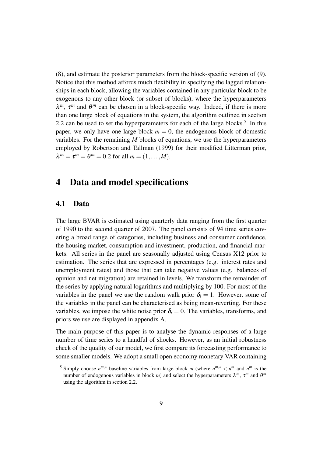[\(8\)](#page-7-2), and estimate the posterior parameters from the block-specific version of [\(9\)](#page-7-3). Notice that this method affords much flexibility in specifying the lagged relationships in each block, allowing the variables contained in any particular block to be exogenous to any other block (or subset of blocks), where the hyperparameters  $\lambda^m$ ,  $\tau^m$  and  $\theta^m$  can be chosen in a block-specific way. Indeed, if there is more than one large block of equations in the system, the algorithm outlined in section [2.2](#page-8-1) can be used to set the hyperparameters for each of the large blocks.<sup>[5](#page-10-1)</sup> In this paper, we only have one large block  $m = 0$ , the endogenous block of domestic variables. For the remaining *M* blocks of equations, we use the hyperparameters employed by [Robertson and Tallman \(1999\)](#page-26-5) for their modified Litterman prior,  $\lambda^m = \tau^m = \theta^m = 0.2$  for all  $m = (1, \dots, M)$ .

## <span id="page-10-0"></span>4 Data and model specifications

#### 4.1 Data

The large BVAR is estimated using quarterly data ranging from the first quarter of 1990 to the second quarter of 2007. The panel consists of 94 time series covering a broad range of categories, including business and consumer confidence, the housing market, consumption and investment, production, and financial markets. All series in the panel are seasonally adjusted using Census X12 prior to estimation. The series that are expressed in percentages (e.g. interest rates and unemployment rates) and those that can take negative values (e.g. balances of opinion and net migration) are retained in levels. We transform the remainder of the series by applying natural logarithms and multiplying by 100. For most of the variables in the panel we use the random walk prior  $\delta_i = 1$ . However, some of the variables in the panel can be characterised as being mean-reverting. For these variables, we impose the white noise prior  $\delta_i = 0$ . The variables, transforms, and priors we use are displayed in appendix [A.](#page-27-0)

The main purpose of this paper is to analyse the dynamic responses of a large number of time series to a handful of shocks. However, as an initial robustness check of the quality of our model, we first compare its forecasting performance to some smaller models. We adopt a small open economy monetary VAR containing

<span id="page-10-1"></span><sup>&</sup>lt;sup>5</sup> Simply choose  $n^{m,*}$  baseline variables from large block *m* (where  $n^{m,*} < n^m$  and  $n^m$  is the number of endogenous variables in block *m*) and select the hyperparameters  $\lambda^m$ ,  $\tau^m$  and  $\theta^m$ using the algorithm in section [2.2.](#page-8-1)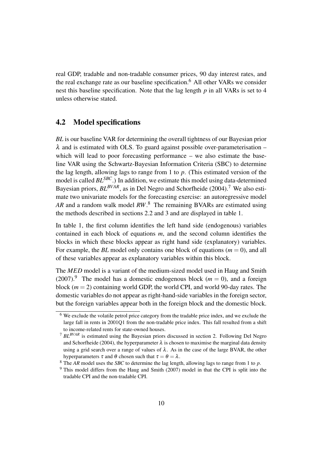real GDP, tradable and non-tradable consumer prices, 90 day interest rates, and the real exchange rate as our baseline specification.<sup>[6](#page-11-0)</sup> All other VARs we consider nest this baseline specification. Note that the lag length *p* in all VARs is set to 4 unless otherwise stated.

#### <span id="page-11-4"></span>4.2 Model specifications

*BL* is our baseline VAR for determining the overall tightness of our Bayesian prior  $\lambda$  and is estimated with OLS. To guard against possible over-parameterisation – which will lead to poor forecasting performance – we also estimate the baseline VAR using the Schwartz-Bayesian Information Criteria (SBC) to determine the lag length, allowing lags to range from 1 to *p*. (This estimated version of the model is called *BLSBC*.) In addition, we estimate this model using data-determined Bayesian priors,  $BL^{BVAR}$ , as in [Del Negro and Schorfheide \(2004\).](#page-25-10)<sup>[7](#page-11-1)</sup> We also estimate two univariate models for the forecasting exercise: an autoregressive model *AR* and a random walk model *RW*. [8](#page-11-2) The remaining BVARs are estimated using the methods described in sections [2.2](#page-8-1) and [3](#page-9-0) and are displayed in table [1.](#page-13-0)

In table [1,](#page-13-0) the first column identifies the left hand side (endogenous) variables contained in each block of equations *m*, and the second column identifies the blocks in which these blocks appear as right hand side (explanatory) variables. For example, the *BL* model only contains one block of equations (*m* = 0), and all of these variables appear as explanatory variables within this block.

The *MED* model is a variant of the medium-sized model used in [Haug and Smith](#page-26-10) [\(2007\).](#page-26-10)<sup>[9](#page-11-3)</sup> The model has a domestic endogenous block ( $m = 0$ ), and a foreign block  $(m = 2)$  containing world GDP, the world CPI, and world 90-day rates. The domestic variables do not appear as right-hand-side variables in the foreign sector, but the foreign variables appear both in the foreign block and the domestic block.

<span id="page-11-0"></span><sup>6</sup> We exclude the volatile petrol price category from the tradable price index, and we exclude the large fall in rents in 2001Q1 from the non-tradable price index. This fall resulted from a shift to income-related rents for state-owned houses.

<span id="page-11-1"></span><sup>7</sup> *BLBVAR* is estimated using the Bayesian priors discussed in section [2.](#page-4-0) Following [Del Negro](#page-25-10) [and Schorfheide \(2004\),](#page-25-10) the hyperparameter  $\lambda$  is chosen to maximise the marginal data density using a grid search over a range of values of  $\lambda$ . As in the case of the large BVAR, the other hyperparameters  $\tau$  and  $\theta$  chosen such that  $\tau = \theta = \lambda$ .

<span id="page-11-2"></span><sup>8</sup> The *AR* model uses the *SBC* to determine the lag length, allowing lags to range from 1 to *p*.

<span id="page-11-3"></span><sup>9</sup> This model differs from the [Haug and Smith \(2007\)](#page-26-10) model in that the CPI is split into the tradable CPI and the non-tradable CPI.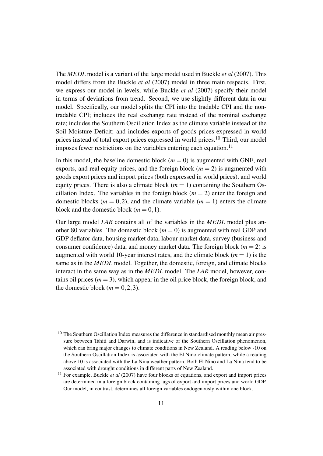The *MEDL* model is a variant of the large model used in [Buckle](#page-25-9) *et al* (2007). This model differs from the [Buckle](#page-25-9) *et al* (2007) model in three main respects. First, we express our model in levels, while [Buckle](#page-25-9) *et al* (2007) specify their model in terms of deviations from trend. Second, we use slightly different data in our model. Specifically, our model splits the CPI into the tradable CPI and the nontradable CPI; includes the real exchange rate instead of the nominal exchange rate; includes the Southern Oscillation Index as the climate variable instead of the Soil Moisture Deficit; and includes exports of goods prices expressed in world prices instead of total export prices expressed in world prices.[10](#page-12-0) Third, our model imposes fewer restrictions on the variables entering each equation.<sup>[11](#page-12-1)</sup>

In this model, the baseline domestic block  $(m = 0)$  is augmented with GNE, real exports, and real equity prices, and the foreign block  $(m = 2)$  is augmented with goods export prices and import prices (both expressed in world prices), and world equity prices. There is also a climate block  $(m = 1)$  containing the Southern Oscillation Index. The variables in the foreign block  $(m = 2)$  enter the foreign and domestic blocks ( $m = 0, 2$ ), and the climate variable ( $m = 1$ ) enters the climate block and the domestic block  $(m = 0, 1)$ .

Our large model *LAR* contains all of the variables in the *MEDL* model plus another 80 variables. The domestic block  $(m = 0)$  is augmented with real GDP and GDP deflator data, housing market data, labour market data, survey (business and consumer confidence) data, and money market data. The foreign block  $(m = 2)$  is augmented with world 10-year interest rates, and the climate block  $(m = 1)$  is the same as in the *MEDL* model. Together, the domestic, foreign, and climate blocks interact in the same way as in the *MEDL* model. The *LAR* model, however, contains oil prices  $(m = 3)$ , which appear in the oil price block, the foreign block, and the domestic block  $(m = 0, 2, 3)$ .

<span id="page-12-0"></span><sup>&</sup>lt;sup>10</sup> The Southern Oscillation Index measures the difference in standardised monthly mean air pressure between Tahiti and Darwin, and is indicative of the Southern Oscillation phenomenon, which can bring major changes to climate conditions in New Zealand. A reading below -10 on the Southern Oscillation Index is associated with the El Nino climate pattern, while a reading above 10 is associated with the La Nina weather pattern. Both El Nino and La Nina tend to be associated with drought conditions in different parts of New Zealand.

<span id="page-12-1"></span><sup>&</sup>lt;sup>11</sup> For example, [Buckle](#page-25-9) *et al* (2007) have four blocks of equations, and export and import prices are determined in a foreign block containing lags of export and import prices and world GDP. Our model, in contrast, determines all foreign variables endogenously within one block.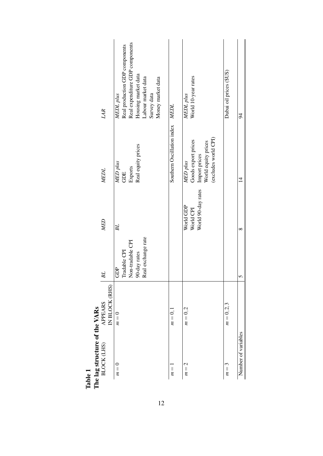<span id="page-13-0"></span>

| The lag structure of the VARs<br>Table 1 |                                  |                                                                               |                                              |                                                                                                 |                                                                                                                                                                 |
|------------------------------------------|----------------------------------|-------------------------------------------------------------------------------|----------------------------------------------|-------------------------------------------------------------------------------------------------|-----------------------------------------------------------------------------------------------------------------------------------------------------------------|
| BLOCK (LHS)                              | IN BLOCK (RHS)<br><b>APPEARS</b> | <b>BL</b>                                                                     | MED                                          | <b>MEDL</b>                                                                                     | LAR                                                                                                                                                             |
| $m=0$                                    | $m=0$                            | Real exchange rate<br>Non-tradable CPI<br>Tradable CPI<br>90-day rates<br>GDP | BL                                           | Real equity prices<br>MED plus<br>Exports<br>GDE                                                | Real expenditure GDP components<br>Real production GDP components<br>Housing market data<br>Labour market data<br>Money market data<br>Survey data<br>MEDL plus |
| $m =$                                    | $m=0,1$                          |                                                                               |                                              | Southern Oscillation index MEDL                                                                 |                                                                                                                                                                 |
| $m=2$                                    | $m=0,2$                          |                                                                               | World 90-day rates<br>World GDP<br>World CPI | (excludes world CPI)<br>Goods export prices<br>World equity prices<br>Import prices<br>MED plus | World 10-year rates<br>MEDL plus                                                                                                                                |
| $m=3$                                    | $m = 0, 2, 3$                    |                                                                               |                                              |                                                                                                 | Dubai oil prices (\$US)                                                                                                                                         |
| Number of variables                      |                                  | 5                                                                             | $\infty$                                     | $\overline{4}$                                                                                  | $\overline{6}$                                                                                                                                                  |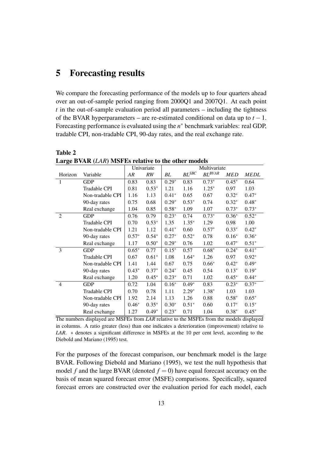## <span id="page-14-0"></span>5 Forecasting results

Table 2

We compare the forecasting performance of the models up to four quarters ahead over an out-of-sample period ranging from 2000Q1 and 2007Q1. At each point *t* in the out-of-sample evaluation period all parameters – including the tightness of the BVAR hyperparameters – are re-estimated conditional on data up to *t* −1. Forecasting performance is evaluated using the *n* <sup>∗</sup> benchmark variables: real GDP, tradable CPI, non-tradable CPI, 90-day rates, and the real exchange rate.

|                |                     |         | Univariate | Multivariate |                            |                      |            |             |  |  |
|----------------|---------------------|---------|------------|--------------|----------------------------|----------------------|------------|-------------|--|--|
| Horizon        | Variable            | AR      | RW         | BL           | $\mathit{BL}^\mathit{SBC}$ | $BL^{\textit{BVAR}}$ | <b>MED</b> | <b>MEDL</b> |  |  |
| 1              | <b>GDP</b>          | 0.83    | 0.83       | $0.29*$      | 0.83                       | $0.73*$              | $0.45*$    | 0.64        |  |  |
|                | <b>Tradable CPI</b> | 0.81    | $0.53*$    | 1.21         | 1.16                       | $1.25*$              | 0.97       | 1.03        |  |  |
|                | Non-tradable CPI    | 1.16    | 1.13       | $0.41*$      | 0.65                       | 0.67                 | $0.32*$    | $0.47*$     |  |  |
|                | 90-day rates        | 0.75    | 0.68       | $0.29*$      | $0.53*$                    | 0.74                 | $0.32*$    | $0.48*$     |  |  |
|                | Real exchange       | 1.04    | 0.85       | $0.58*$      | 1.09                       | 1.07                 | $0.73*$    | $0.73*$     |  |  |
| $\overline{2}$ | <b>GDP</b>          | 0.76    | 0.79       | $0.23*$      | 0.74                       | $0.73*$              | $0.36*$    | $0.52*$     |  |  |
|                | Tradable CPI        | 0.70    | $0.53*$    | 1.35         | $1.35*$                    | 1.29                 | 0.98       | 1.00        |  |  |
|                | Non-tradable CPI    | 1.21    | 1.12       | $0.41*$      | 0.60                       | $0.57*$              | $0.33*$    | $0.42*$     |  |  |
|                | 90-day rates        | $0.57*$ | $0.54*$    | $0.27*$      | $0.52*$                    | 0.78                 | $0.16*$    | $0.36*$     |  |  |
|                | Real exchange       | 1.17    | $0.50*$    | $0.29*$      | 0.76                       | 1.02                 | $0.47*$    | $0.51*$     |  |  |
| 3              | <b>GDP</b>          | $0.65*$ | 0.77       | $0.15*$      | 0.57                       | $0.68*$              | $0.24*$    | $0.41*$     |  |  |
|                | <b>Tradable CPI</b> | 0.67    | $0.61*$    | 1.08         | $1.64*$                    | 1.26                 | 0.97       | $0.92*$     |  |  |
|                | Non-tradable CPI    | 1.41    | 1.44       | 0.67         | 0.75                       | $0.66*$              | $0.42*$    | $0.49*$     |  |  |
|                | 90-day rates        | $0.43*$ | $0.37*$    | $0.24*$      | 0.45                       | 0.54                 | $0.13*$    | $0.19*$     |  |  |
|                | Real exchange       | 1.20    | $0.45*$    | $0.23*$      | 0.71                       | 1.02                 | $0.45*$    | $0.44*$     |  |  |
| $\overline{4}$ | <b>GDP</b>          | 0.72    | 1.04       | $0.16*$      | $0.49*$                    | 0.83                 | $0.23*$    | $0.37*$     |  |  |
|                | Tradable CPI        | 0.70    | 0.78       | 1.11         | $2.29*$                    | $1.38*$              | 1.03       | 1.03        |  |  |
|                | Non-tradable CPI    | 1.92    | 2.14       | 1.13         | 1.26                       | 0.88                 | $0.58*$    | $0.65*$     |  |  |
|                | 90-day rates        | $0.46*$ | $0.35*$    | $0.30*$      | $0.51*$                    | 0.60                 | $0.17*$    | $0.15*$     |  |  |
|                | Real exchange       | 1.27    | $0.49*$    | $0.23*$      | 0.71                       | 1.04                 | $0.38*$    | $0.45*$     |  |  |

<span id="page-14-1"></span>Large BVAR (*LAR*) MSFEs relative to the other models

The numbers displayed are MSFEs from *LAR* relative to the MSFEs from the models displayed in columns. A ratio greater (less) than one indicates a deterioration (improvement) relative to *LAR.* ∗ denotes a significant difference in MSFEs at the 10 per cent level, according to the [Diebold and Mariano \(1995\)](#page-25-11) test.

For the purposes of the forecast comparison, our benchmark model is the large BVAR. Following [Diebold and Mariano \(1995\),](#page-25-11) we test the null hypothesis that model *f* and the large BVAR (denoted  $f = 0$ ) have equal forecast accuracy on the basis of mean squared forecast error (MSFE) comparisons. Specifically, squared forecast errors are constructed over the evaluation period for each model, each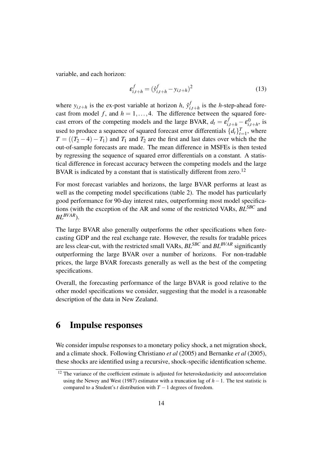variable, and each horizon:

$$
\varepsilon_{i,t+h}^f = (\hat{y}_{i,t+h}^f - y_{i,t+h})^2
$$
 (13)

where  $y_{i,t+h}$  is the ex-post variable at horizon *h*,  $\hat{y}_i^f$  $\sum_{i,t+h}^{J}$  is the *h*-step-ahead forecast from model f, and  $h = 1, \ldots, 4$ . The difference between the squared forecast errors of the competing models and the large BVAR,  $d_t = \varepsilon_{i,t+h}^f - \varepsilon_{i,t}^0$  $\sum_{i,t+h}^{0}$ , is used to produce a sequence of squared forecast error differentials  $\{d_t\}_{t=1}^T$ , where  $T = ((T_2 - 4) - T_1)$  and  $T_1$  and  $T_2$  are the first and last dates over which the the out-of-sample forecasts are made. The mean difference in MSFEs is then tested by regressing the sequence of squared error differentials on a constant. A statistical difference in forecast accuracy between the competing models and the large BVAR is indicated by a constant that is statistically different from zero.<sup>[12](#page-15-1)</sup>

For most forecast variables and horizons, the large BVAR performs at least as well as the competing model specifications (table [2\)](#page-14-1). The model has particularly good performance for 90-day interest rates, outperforming most model specifications (with the exception of the AR and some of the restricted VARs, *BLSBC* and *BLBVAR*).

The large BVAR also generally outperforms the other specifications when forecasting GDP and the real exchange rate. However, the results for tradable prices are less clear-cut, with the restricted small VARs, *BLSBC* and *BLBVAR* significantly outperforming the large BVAR over a number of horizons. For non-tradable prices, the large BVAR forecasts generally as well as the best of the competing specifications.

Overall, the forecasting performance of the large BVAR is good relative to the other model specifications we consider, suggesting that the model is a reasonable description of the data in New Zealand.

### <span id="page-15-0"></span>6 Impulse responses

We consider impulse responses to a monetary policy shock, a net migration shock, and a climate shock. Following [Christiano](#page-25-12) *et al* (2005) and [Bernanke](#page-25-2) *et al* (2005), these shocks are identified using a recursive, shock-specific identification scheme.

<span id="page-15-1"></span><sup>&</sup>lt;sup>12</sup> The variance of the coefficient estimate is adjusted for heteroskedasticity and autocorrelation using the [Newey and West \(1987\)](#page-26-11) estimator with a truncation lag of *h*−1. The test statistic is compared to a Student's *t* distribution with *T* −1 degrees of freedom.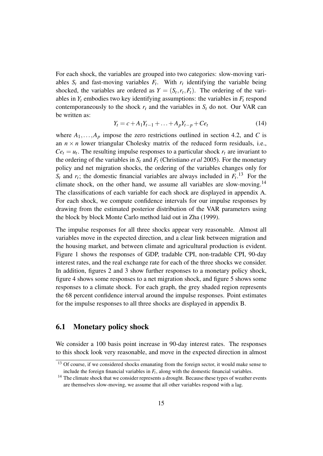For each shock, the variables are grouped into two categories: slow-moving variables  $S_t$  and fast-moving variables  $F_t$ . With  $r_t$  identifying the variable being shocked, the variables are ordered as  $Y = (S_t, r_t, F_t)$ . The ordering of the variables in  $Y_t$  embodies two key identifying assumptions: the variables in  $F_t$  respond contemporaneously to the shock  $r_t$  and the variables in  $S_t$  do not. Our VAR can be written as:

$$
Y_t = c + A_1 Y_{t-1} + \dots + A_p Y_{t-p} + C e_t \tag{14}
$$

where  $A_1, \ldots, A_p$  impose the zero restrictions outlined in section [4.2,](#page-11-4) and *C* is an  $n \times n$  lower triangular Cholesky matrix of the reduced form residuals, i.e.,  $Ce<sub>t</sub> = u<sub>t</sub>$ . The resulting impulse responses to a particular shock  $r<sub>t</sub>$  are invariant to the ordering of the variables in  $S_t$  and  $F_t$  [\(Christiano](#page-25-12) *et al* 2005). For the monetary policy and net migration shocks, the ordering of the variables changes only for  $S_t$  and  $r_t$ ; the domestic financial variables are always included in  $F_t$ <sup>[13](#page-16-0)</sup> For the climate shock, on the other hand, we assume all variables are slow-moving.<sup>[14](#page-16-1)</sup> The classifications of each variable for each shock are displayed in appendix [A.](#page-27-0) For each shock, we compute confidence intervals for our impulse responses by drawing from the estimated posterior distribution of the VAR parameters using the block by block Monte Carlo method laid out in [Zha \(1999\).](#page-26-8)

The impulse responses for all three shocks appear very reasonable. Almost all variables move in the expected direction, and a clear link between migration and the housing market, and between climate and agricultural production is evident. Figure [1](#page-19-0) shows the responses of GDP, tradable CPI, non-tradable CPI, 90-day interest rates, and the real exchange rate for each of the three shocks we consider. In addition, figures [2](#page-20-0) and [3](#page-21-0) show further responses to a monetary policy shock, figure [4](#page-22-0) shows some responses to a net migration shock, and figure [5](#page-23-0) shows some responses to a climate shock. For each graph, the grey shaded region represents the 68 percent confidence interval around the impulse responses. Point estimates for the impulse responses to all three shocks are displayed in appendix [B.](#page-32-0)

#### 6.1 Monetary policy shock

We consider a 100 basis point increase in 90-day interest rates. The responses to this shock look very reasonable, and move in the expected direction in almost

<span id="page-16-0"></span><sup>&</sup>lt;sup>13</sup> Of course, if we considered shocks emanating from the foreign sector, it would make sense to include the foreign financial variables in *F<sup>t</sup>* , along with the domestic financial variables.

<span id="page-16-1"></span><sup>&</sup>lt;sup>14</sup> The climate shock that we consider represents a drought. Because these types of weather events are themselves slow-moving, we assume that all other variables respond with a lag.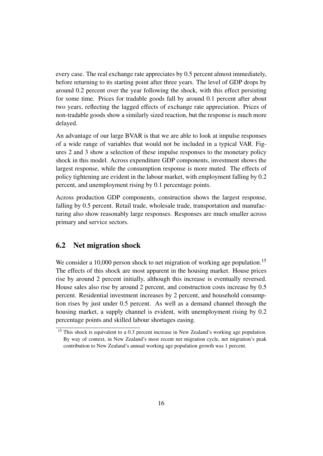every case. The real exchange rate appreciates by 0.5 percent almost immediately, before returning to its starting point after three years. The level of GDP drops by around 0.2 percent over the year following the shock, with this effect persisting for some time. Prices for tradable goods fall by around 0.1 percent after about two years, reflecting the lagged effects of exchange rate appreciation. Prices of non-tradable goods show a similarly sized reaction, but the response is much more delayed.

An advantage of our large BVAR is that we are able to look at impulse responses of a wide range of variables that would not be included in a typical VAR. Figures [2](#page-20-0) and [3](#page-21-0) show a selection of these impulse responses to the monetary policy shock in this model. Across expenditure GDP components, investment shows the largest response, while the consumption response is more muted. The effects of policy tightening are evident in the labour market, with employment falling by 0.2 percent, and unemployment rising by 0.1 percentage points.

Across production GDP components, construction shows the largest response, falling by 0.5 percent. Retail trade, wholesale trade, transportation and manufacturing also show reasonably large responses. Responses are much smaller across primary and service sectors.

#### 6.2 Net migration shock

We consider a 10,000 person shock to net migration of working age population.<sup>[15](#page-17-0)</sup> The effects of this shock are most apparent in the housing market. House prices rise by around 2 percent initially, although this increase is eventually reversed. House sales also rise by around 2 percent, and construction costs increase by 0.5 percent. Residential investment increases by 2 percent, and household consumption rises by just under 0.5 percent. As well as a demand channel through the housing market, a supply channel is evident, with unemployment rising by 0.2 percentage points and skilled labour shortages easing.

<span id="page-17-0"></span><sup>&</sup>lt;sup>15</sup> This shock is equivalent to a 0.3 percent increase in New Zealand's working age population. By way of context, in New Zealand's most recent net migration cycle, net migration's peak contribution to New Zealand's annual working age population growth was 1 percent.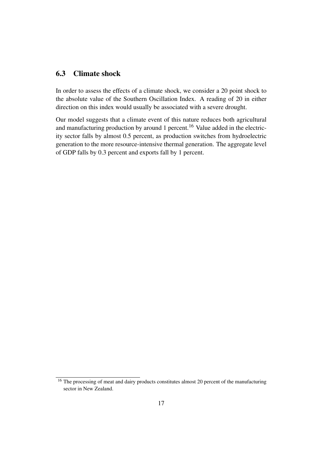#### 6.3 Climate shock

In order to assess the effects of a climate shock, we consider a 20 point shock to the absolute value of the Southern Oscillation Index. A reading of 20 in either direction on this index would usually be associated with a severe drought.

Our model suggests that a climate event of this nature reduces both agricultural and manufacturing production by around 1 percent.<sup>[16](#page-18-0)</sup> Value added in the electricity sector falls by almost 0.5 percent, as production switches from hydroelectric generation to the more resource-intensive thermal generation. The aggregate level of GDP falls by 0.3 percent and exports fall by 1 percent.

<span id="page-18-0"></span><sup>&</sup>lt;sup>16</sup> The processing of meat and dairy products constitutes almost 20 percent of the manufacturing sector in New Zealand.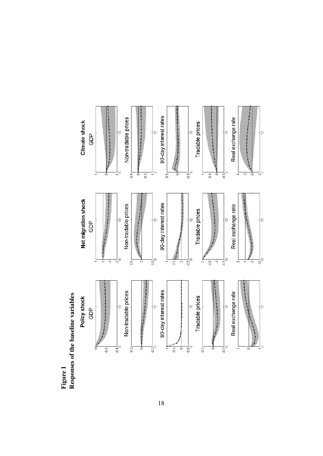

<span id="page-19-0"></span>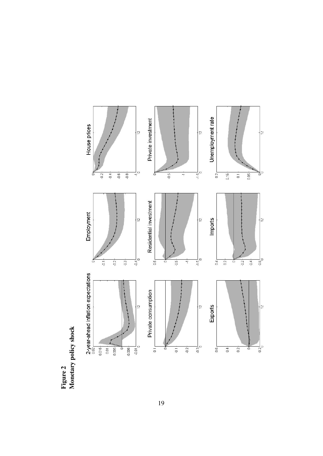

<span id="page-20-0"></span>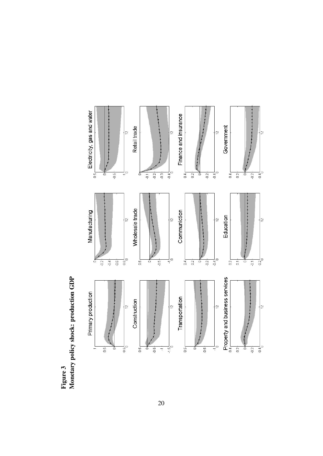Figure 3<br>Monetary policy shock: production GDP Monetary policy shock: production GDP

<span id="page-21-0"></span>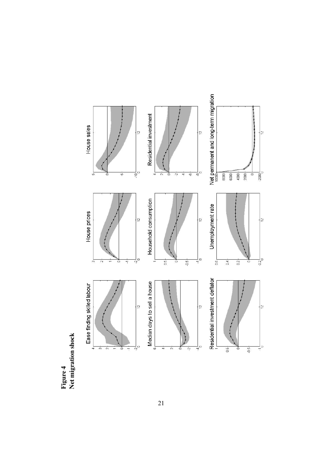Figure 4<br>Net migration shock Net migration shock

<span id="page-22-0"></span>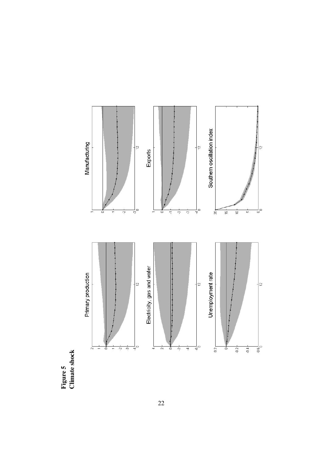Figure 5 Climate shock

<span id="page-23-0"></span>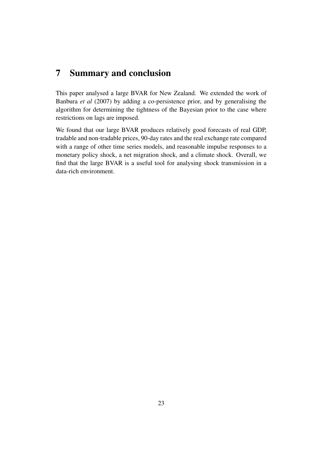## <span id="page-24-0"></span>7 Summary and conclusion

This paper analysed a large BVAR for New Zealand. We extended the work of [Banbura](#page-25-5) *et al* (2007) by adding a co-persistence prior, and by generalising the algorithm for determining the tightness of the Bayesian prior to the case where restrictions on lags are imposed.

We found that our large BVAR produces relatively good forecasts of real GDP, tradable and non-tradable prices, 90-day rates and the real exchange rate compared with a range of other time series models, and reasonable impulse responses to a monetary policy shock, a net migration shock, and a climate shock. Overall, we find that the large BVAR is a useful tool for analysing shock transmission in a data-rich environment.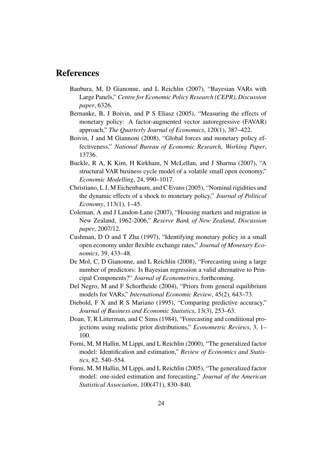### <span id="page-25-5"></span>References

- Banbura, M, D Gianonne, and L Reichlin (2007), "Bayesian VARs with Large Panels," *Centre for Economic Policy Research (CEPR)*, *Discussion paper*, 6326.
- <span id="page-25-2"></span>Bernanke, B, J Boivin, and P S Eliasz (2005), "Measuring the effects of monetary policy: A factor-augmented vector autoregressive (FAVAR) approach," *The Quarterly Journal of Economics*, 120(1), 387–422.
- <span id="page-25-3"></span>Boivin, J and M Giannoni (2008), "Global forces and monetary policy effectiveness," *National Bureau of Economic Research*, *Working Paper*, 13736.
- <span id="page-25-9"></span>Buckle, R A, K Kim, H Kirkham, N McLellan, and J Sharma (2007), "A structural VAR business cycle model of a volatile small open economy," *Economic Modelling*, 24, 990–1017.
- <span id="page-25-12"></span>Christiano, L J, M Eichenbaum, and C Evans (2005), "Nominal rigidities and the dynamic effects of a shock to monetary policy," *Journal of Political Economy*, 113(1), 1–45.
- <span id="page-25-8"></span>Coleman, A and J Landon-Lane (2007), "Housing markets and migration in New Zealand, 1962-2006," *Reserve Bank of New Zealand*, *Discussion paper*, 2007/12.
- <span id="page-25-7"></span>Cushman, D O and T Zha (1997), "Identifying monetary policy in a small open economy under flexible exchange rates," *Journal of Monetary Economics*, 39, 433–48.
- <span id="page-25-4"></span>De Mol, C, D Gianonne, and L Reichlin (2008), "Forecasting using a large number of predictors: Is Bayesian regression a valid alternative to Principal Components?" *Journal of Econometrics*, forthcoming.
- <span id="page-25-10"></span>Del Negro, M and F Schorfheide (2004), "Priors from general equilibrium models for VARs," *International Economic Review*, 45(2), 643–73.
- <span id="page-25-11"></span>Diebold, F X and R S Mariano (1995), "Comparing predictive accuracy," *Journal of Business and Economic Statistics*, 13(3), 253–63.
- <span id="page-25-6"></span>Doan, T, R Litterman, and C Sims (1984), "Forecasting and conditional projections using realistic prior distributions," *Econometric Reviews*, 3, 1– 100.
- <span id="page-25-0"></span>Forni, M, M Hallin, M Lippi, and L Reichlin (2000), "The generalized factor model: Identification and estimation," *Review of Economics and Statistics*, 82, 540–554.
- <span id="page-25-1"></span>Forni, M, M Hallin, M Lippi, and L Reichlin (2005), "The generalized factor model: one-sided estimation and forecasting," *Journal of the American Statistical Association*, 100(471), 830–840.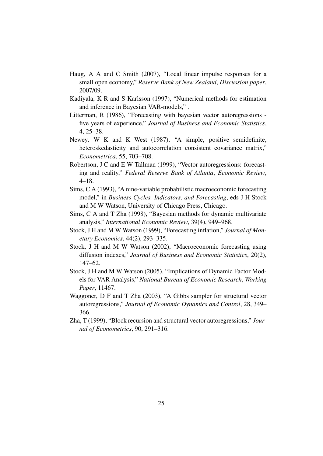- <span id="page-26-10"></span>Haug, A A and C Smith (2007), "Local linear impulse responses for a small open economy," *Reserve Bank of New Zealand*, *Discussion paper*, 2007/09.
- <span id="page-26-6"></span>Kadiyala, K R and S Karlsson (1997), "Numerical methods for estimation and inference in Bayesian VAR-models," .
- <span id="page-26-3"></span>Litterman, R (1986), "Forecasting with bayesian vector autoregressions five years of experience," *Journal of Business and Economic Statistics*, 4, 25–38.
- <span id="page-26-11"></span>Newey, W K and K West (1987), "A simple, positive semidefinite, heteroskedasticity and autocorrelation consistent covariance matrix," *Econometrica*, 55, 703–708.
- <span id="page-26-5"></span>Robertson, J C and E W Tallman (1999), "Vector autoregressions: forecasting and reality," *Federal Reserve Bank of Atlanta*, *Economic Review*, 4–18.
- <span id="page-26-4"></span>Sims, C A (1993), "A nine-variable probabilistic macroeconomic forecasting model," in *Business Cycles, Indicators, and Forecasting*, eds J H Stock and M W Watson, University of Chicago Press, Chicago.
- <span id="page-26-7"></span>Sims, C A and T Zha (1998), "Bayesian methods for dynamic multivariate analysis," *International Economic Review*, 39(4), 949–968.
- <span id="page-26-0"></span>Stock, J H and M W Watson (1999), "Forecasting inflation," *Journal of Monetary Economics*, 44(2), 293–335.
- <span id="page-26-1"></span>Stock, J H and M W Watson (2002), "Macroeconomic forecasting using diffusion indexes," *Journal of Business and Economic Statistics*, 20(2), 147–62.
- <span id="page-26-2"></span>Stock, J H and M W Watson (2005), "Implications of Dynamic Factor Models for VAR Analysis," *National Bureau of Economic Research*, *Working Paper*, 11467.
- <span id="page-26-9"></span>Waggoner, D F and T Zha (2003), "A Gibbs sampler for structural vector autoregressions," *Journal of Economic Dynamics and Control*, 28, 349– 366.
- <span id="page-26-8"></span>Zha, T (1999), "Block recursion and structural vector autoregressions," *Journal of Econometrics*, 90, 291–316.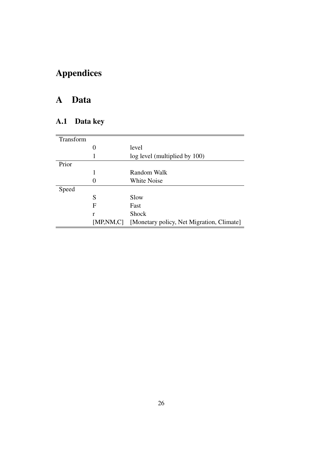# Appendices

## <span id="page-27-0"></span>A Data

## A.1 Data key

| Transform |             |                                           |
|-----------|-------------|-------------------------------------------|
|           | 0           | level                                     |
|           | 1           | log level (multiplied by 100)             |
| Prior     |             |                                           |
|           | 1           | Random Walk                               |
|           |             | White Noise                               |
| Speed     |             |                                           |
|           | S           | Slow                                      |
|           | F           | Fast                                      |
|           | r           | <b>Shock</b>                              |
|           | [MP, NM, C] | [Monetary policy, Net Migration, Climate] |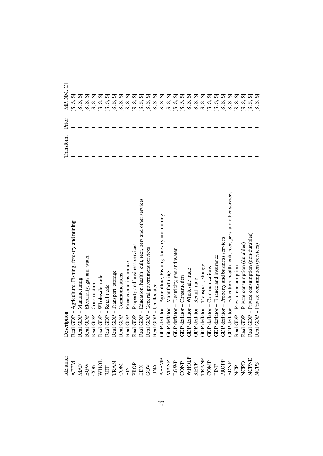| $\frac{\mbox{Identity}}{\mbox{AFM}}$                                                                                                                                                                                                                                                                                                                                                              | Description                                                                                                                                                                                                                                 | Transform | Prior | [MP, NM, C]           |
|---------------------------------------------------------------------------------------------------------------------------------------------------------------------------------------------------------------------------------------------------------------------------------------------------------------------------------------------------------------------------------------------------|---------------------------------------------------------------------------------------------------------------------------------------------------------------------------------------------------------------------------------------------|-----------|-------|-----------------------|
|                                                                                                                                                                                                                                                                                                                                                                                                   | Real GDP - Agriculture, Fishing, forestry and mining                                                                                                                                                                                        |           |       | $\mathsf{[S,S]}$      |
|                                                                                                                                                                                                                                                                                                                                                                                                   |                                                                                                                                                                                                                                             |           |       | (S, S,                |
|                                                                                                                                                                                                                                                                                                                                                                                                   |                                                                                                                                                                                                                                             |           |       | S<br>$\omega$         |
|                                                                                                                                                                                                                                                                                                                                                                                                   |                                                                                                                                                                                                                                             |           |       | $\mathcal{L}$         |
| $\begin{array}{l} \verb XAS & \verb XAS & \verb XAS & \verb XAS & \verb XAS & \verb XAS & \verb XAS & \verb XAS & \verb XAS & \verb XAS & \verb XAS & \verb XAS & \verb XAS & \verb XAS & \verb XAS & \verb XAS & \verb XAS & \verb XAS & \verb XAS & \verb XAS & \verb XAS & \verb XAS & \verb XAS & \verb XAS & \verb XAS & \verb XAS & \verb XAS & \verb XAS & \verb XAS & \verb XAS & \verb $ |                                                                                                                                                                                                                                             |           |       | $\omega$              |
|                                                                                                                                                                                                                                                                                                                                                                                                   |                                                                                                                                                                                                                                             |           |       | $\mathbf{v}$          |
|                                                                                                                                                                                                                                                                                                                                                                                                   |                                                                                                                                                                                                                                             |           |       | $\boldsymbol{\delta}$ |
|                                                                                                                                                                                                                                                                                                                                                                                                   |                                                                                                                                                                                                                                             |           |       | $\mathbf{v}$          |
|                                                                                                                                                                                                                                                                                                                                                                                                   |                                                                                                                                                                                                                                             |           |       | $\omega$              |
|                                                                                                                                                                                                                                                                                                                                                                                                   |                                                                                                                                                                                                                                             |           |       | $\vec{\bm{\omega}}$   |
|                                                                                                                                                                                                                                                                                                                                                                                                   |                                                                                                                                                                                                                                             |           |       | S<br>$\omega$         |
|                                                                                                                                                                                                                                                                                                                                                                                                   |                                                                                                                                                                                                                                             |           |       | $\boldsymbol{\delta}$ |
|                                                                                                                                                                                                                                                                                                                                                                                                   |                                                                                                                                                                                                                                             |           |       | $\omega$              |
|                                                                                                                                                                                                                                                                                                                                                                                                   |                                                                                                                                                                                                                                             |           |       | $\vec{\bm{\omega}}$   |
|                                                                                                                                                                                                                                                                                                                                                                                                   |                                                                                                                                                                                                                                             |           |       | $\mathfrak{c}$        |
|                                                                                                                                                                                                                                                                                                                                                                                                   |                                                                                                                                                                                                                                             |           |       | $\vec{\bm{\omega}}$   |
|                                                                                                                                                                                                                                                                                                                                                                                                   |                                                                                                                                                                                                                                             |           |       | $\mathfrak{c}$        |
|                                                                                                                                                                                                                                                                                                                                                                                                   |                                                                                                                                                                                                                                             |           |       | S                     |
|                                                                                                                                                                                                                                                                                                                                                                                                   |                                                                                                                                                                                                                                             |           |       | $\mathfrak{c}$        |
|                                                                                                                                                                                                                                                                                                                                                                                                   |                                                                                                                                                                                                                                             |           |       |                       |
|                                                                                                                                                                                                                                                                                                                                                                                                   |                                                                                                                                                                                                                                             |           |       | $\mathfrak{c}$        |
|                                                                                                                                                                                                                                                                                                                                                                                                   |                                                                                                                                                                                                                                             |           |       | ø                     |
|                                                                                                                                                                                                                                                                                                                                                                                                   |                                                                                                                                                                                                                                             |           |       | $\boldsymbol{\omega}$ |
|                                                                                                                                                                                                                                                                                                                                                                                                   |                                                                                                                                                                                                                                             |           |       | $\dot{\mathcal{S}}$   |
|                                                                                                                                                                                                                                                                                                                                                                                                   |                                                                                                                                                                                                                                             |           |       | $\mathbf{z}$          |
|                                                                                                                                                                                                                                                                                                                                                                                                   |                                                                                                                                                                                                                                             |           |       | $\mathfrak{c}$        |
|                                                                                                                                                                                                                                                                                                                                                                                                   |                                                                                                                                                                                                                                             |           |       | $\dot{\mathbf{v}}$    |
|                                                                                                                                                                                                                                                                                                                                                                                                   | Real GDP – Ditamifacturing<br>Real GDP – Manufacturing<br>Real GDP – Districtiv, gas and water<br>Real GDP – Wholesake trade<br>Real GDP – When the trade<br>Real GDP – Transport, storage<br>Real GDP – Transport, storage<br>Real GDP – T |           |       | S<br>$\sim$           |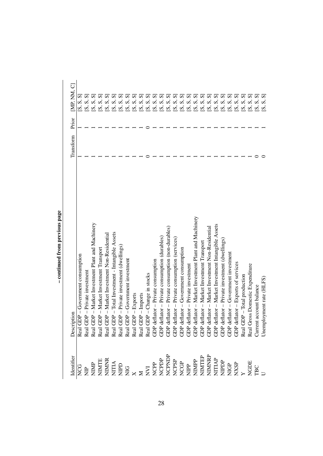|                                                                                                                                                                                                                                                                                                                                                                                                                                                                 | Description                                                                                                                                                                                                                             | Transform | Prior | [MP, NM, C]                    |
|-----------------------------------------------------------------------------------------------------------------------------------------------------------------------------------------------------------------------------------------------------------------------------------------------------------------------------------------------------------------------------------------------------------------------------------------------------------------|-----------------------------------------------------------------------------------------------------------------------------------------------------------------------------------------------------------------------------------------|-----------|-------|--------------------------------|
|                                                                                                                                                                                                                                                                                                                                                                                                                                                                 |                                                                                                                                                                                                                                         |           |       | S, S, S                        |
|                                                                                                                                                                                                                                                                                                                                                                                                                                                                 |                                                                                                                                                                                                                                         |           |       | [S, S]                         |
|                                                                                                                                                                                                                                                                                                                                                                                                                                                                 |                                                                                                                                                                                                                                         |           |       | ທົ<br>$\overline{\mathcal{S}}$ |
|                                                                                                                                                                                                                                                                                                                                                                                                                                                                 |                                                                                                                                                                                                                                         |           |       | $\omega$                       |
| $\begin{tabular}{l c c c c c} \hline \hline \multicolumn{1}{c}{\textbf{definite}} \\ \hline \multicolumn{1}{c}{\textbf{H} & \textbf{H} & \textbf{H} \\ \hline \multicolumn{1}{c}{\textbf{H} & \textbf{H} & \textbf{H} \\ \hline \multicolumn{1}{c}{\textbf{H} & \textbf{H} & \textbf{H} \\ \hline \multicolumn{1}{c}{\textbf{H} & \textbf{H} & \textbf{H} \\ \hline \multicolumn{1}{c}{\textbf{H} & \textbf{H} & \textbf{H} \\ \hline \multicolumn{1}{c}{\text$ |                                                                                                                                                                                                                                         |           |       | $\vec{\bm{\omega}}$            |
|                                                                                                                                                                                                                                                                                                                                                                                                                                                                 |                                                                                                                                                                                                                                         |           |       | $\vec{\bm{\omega}}$            |
|                                                                                                                                                                                                                                                                                                                                                                                                                                                                 |                                                                                                                                                                                                                                         |           |       | $\vec{\bm{\omega}}$            |
|                                                                                                                                                                                                                                                                                                                                                                                                                                                                 |                                                                                                                                                                                                                                         |           |       | $\mathfrak{c}$                 |
|                                                                                                                                                                                                                                                                                                                                                                                                                                                                 |                                                                                                                                                                                                                                         |           |       | $\vec{\bm{\omega}}$            |
|                                                                                                                                                                                                                                                                                                                                                                                                                                                                 |                                                                                                                                                                                                                                         |           |       | $\vec{\bm{\omega}}$            |
|                                                                                                                                                                                                                                                                                                                                                                                                                                                                 |                                                                                                                                                                                                                                         |           |       | S<br>$\vec{\bm{\omega}}$       |
|                                                                                                                                                                                                                                                                                                                                                                                                                                                                 |                                                                                                                                                                                                                                         |           |       | $\vec{\bm{\omega}}$            |
|                                                                                                                                                                                                                                                                                                                                                                                                                                                                 |                                                                                                                                                                                                                                         |           |       | $\vec{\bm{\omega}}$            |
|                                                                                                                                                                                                                                                                                                                                                                                                                                                                 |                                                                                                                                                                                                                                         |           |       | $\vec{\bm{\omega}}$            |
|                                                                                                                                                                                                                                                                                                                                                                                                                                                                 |                                                                                                                                                                                                                                         |           |       | $\vec{\bm{\omega}}$            |
|                                                                                                                                                                                                                                                                                                                                                                                                                                                                 |                                                                                                                                                                                                                                         |           |       | $\vec{\bm{\omega}}$            |
|                                                                                                                                                                                                                                                                                                                                                                                                                                                                 |                                                                                                                                                                                                                                         |           |       | $\boldsymbol{\delta}$          |
|                                                                                                                                                                                                                                                                                                                                                                                                                                                                 |                                                                                                                                                                                                                                         |           |       | $\vec{\bm{\omega}}$            |
|                                                                                                                                                                                                                                                                                                                                                                                                                                                                 |                                                                                                                                                                                                                                         |           |       | $\boldsymbol{\omega}$          |
|                                                                                                                                                                                                                                                                                                                                                                                                                                                                 |                                                                                                                                                                                                                                         |           |       | $\vec{\bm{\omega}}$            |
|                                                                                                                                                                                                                                                                                                                                                                                                                                                                 |                                                                                                                                                                                                                                         |           |       | $\vec{\bm{\omega}}$            |
|                                                                                                                                                                                                                                                                                                                                                                                                                                                                 |                                                                                                                                                                                                                                         |           |       | $\vec{\bm{\omega}}$            |
|                                                                                                                                                                                                                                                                                                                                                                                                                                                                 |                                                                                                                                                                                                                                         |           |       | S<br>$\boldsymbol{\omega}$     |
|                                                                                                                                                                                                                                                                                                                                                                                                                                                                 |                                                                                                                                                                                                                                         |           |       | S<br>$\mathfrak{c}$            |
|                                                                                                                                                                                                                                                                                                                                                                                                                                                                 |                                                                                                                                                                                                                                         |           |       | S<br>$\omega$                  |
|                                                                                                                                                                                                                                                                                                                                                                                                                                                                 |                                                                                                                                                                                                                                         |           |       | $\mathbf{v}$<br>$\omega$       |
|                                                                                                                                                                                                                                                                                                                                                                                                                                                                 |                                                                                                                                                                                                                                         |           |       | ທົ<br>$\omega$                 |
|                                                                                                                                                                                                                                                                                                                                                                                                                                                                 | Real GDP – Government consumption<br>Real GDP – Government consumption<br>Real GDP – Private investment Plant and Machinery<br>Real GDP – Market Investment Transport<br>Real GDP – Total Investment Transport<br>Real GDP – Total Inve |           |       | $\mathbf{z}$                   |

- continued from previous page – continued from previous page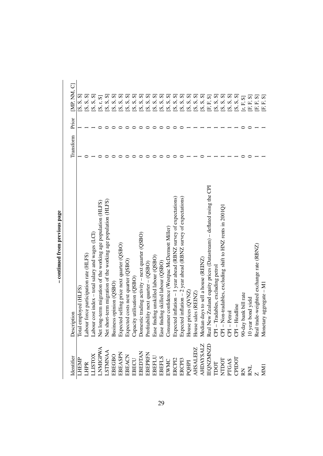| <b>Identifier</b>                                                                                                                                                                                                               | Description                                                                                                                                                                                                                              | Transform | Prior | IMP. NM. CI                                        |
|---------------------------------------------------------------------------------------------------------------------------------------------------------------------------------------------------------------------------------|------------------------------------------------------------------------------------------------------------------------------------------------------------------------------------------------------------------------------------------|-----------|-------|----------------------------------------------------|
| <b>HEMP</b>                                                                                                                                                                                                                     | Total employed (HLFS)                                                                                                                                                                                                                    |           |       | S, S, S                                            |
| LHPR                                                                                                                                                                                                                            | Labour force participation rate (HLFS)                                                                                                                                                                                                   |           |       | [S, S, S]                                          |
| <b>TISLOX</b>                                                                                                                                                                                                                   | Labour cost index - total salary and wages (LCI)                                                                                                                                                                                         |           |       | [S, S, S]                                          |
| <b>NMGPWA</b>                                                                                                                                                                                                                   | Net long-term migration of the working age population (HLFS)                                                                                                                                                                             |           |       | r, SJ<br>$\overline{\mathbf{S}}$                   |
| LSTMNAA<br>EBEGBO                                                                                                                                                                                                               | Net short-term migration of the working age population (HLFS)<br>Business opinion (QSBO)                                                                                                                                                 |           |       | $\dot{\bm{\omega}}$                                |
|                                                                                                                                                                                                                                 |                                                                                                                                                                                                                                          |           |       | [S, S,                                             |
|                                                                                                                                                                                                                                 |                                                                                                                                                                                                                                          |           |       | $\mathbf{v}$<br>$\overline{\mathbf{v}}$            |
| $\begin{tabular}{l} \bf BBASPN \\ \bf BBACN \\ \bf BBCU \\ \bf BBCU \\ \bf BBDTAN \\ \bf BEBDTAN \\ \bf BEBHPN \\ \bf BBEHN \\ \bf BBEU \\ \end{tabular}$                                                                       | Expected selling price next quarter (QSBO)<br>Expected costs next quarter (QSBO)<br>Capacity utilisation (QSBO)<br>Domestic trading activity – next quarter (QSBO)                                                                       |           |       | $\mathbf{v}$<br>$\dot{\mathbf{v}}$                 |
|                                                                                                                                                                                                                                 |                                                                                                                                                                                                                                          |           |       | $\overline{\mathbf{S}}$<br>$\overline{\mathbf{z}}$ |
|                                                                                                                                                                                                                                 |                                                                                                                                                                                                                                          |           |       | $\overline{\mathbf{S}}$<br>$\overline{\mathbf{S}}$ |
|                                                                                                                                                                                                                                 | Profitability next quarter - (QSBO)                                                                                                                                                                                                      |           |       | $\overline{\mathbf{S}}$<br>$\tilde{\mathbf{v}}$    |
|                                                                                                                                                                                                                                 | Ease finding unskilled labour (QSBO)                                                                                                                                                                                                     |           |       | $\mathcal{S}$<br>$\overline{\mathbf{S}}$           |
| EBEFLS<br>EWMC<br>ERCPI2<br>ERCPI3                                                                                                                                                                                              | Ease finding skilled labour (QSBO)                                                                                                                                                                                                       |           |       | $\mathbf{v}$<br>$\overline{\mathbf{v}}$            |
|                                                                                                                                                                                                                                 | Consumer confidence (Westpac McDermott Miller)                                                                                                                                                                                           |           |       | [S, S, S]                                          |
|                                                                                                                                                                                                                                 | Expected inflation - 1 year ahead (RBNZ survey of expectations)                                                                                                                                                                          |           |       | [S, S,                                             |
|                                                                                                                                                                                                                                 | Expected inflation - 2 year ahead (RBNZ survey of expectations)                                                                                                                                                                          |           |       | [S, S, S]                                          |
|                                                                                                                                                                                                                                 | prices $\left( \text{QVMZ} \right)$                                                                                                                                                                                                      |           |       | [S, S, S]                                          |
| $\begin{array}{l} \text{PQHPI} \\ \text{AHSALEDZ} \\ \text{AHDAYSALZ} \\ \text{IEQNZMND} \\ \text{TDOT} \\ \text{PTOAS} \\ \text{PTOAS} \\ \text{RNDOT} \\ \text{RML} \\ \text{MMI} \\ \text{MMI} \\ \text{MMI} \\ \end{array}$ | House prices (QVNZ<br>House sales (REINZ)                                                                                                                                                                                                |           |       | [S, S, S]                                          |
|                                                                                                                                                                                                                                 |                                                                                                                                                                                                                                          |           |       | [S, S, S]                                          |
|                                                                                                                                                                                                                                 |                                                                                                                                                                                                                                          |           |       | F, SJ<br>$\mathbf{r}$                              |
|                                                                                                                                                                                                                                 |                                                                                                                                                                                                                                          |           |       | [S, S, S]                                          |
|                                                                                                                                                                                                                                 |                                                                                                                                                                                                                                          |           |       | [S, S, S]                                          |
|                                                                                                                                                                                                                                 | Z Median days to sell a house (REINZ)<br>D Real New Zealand equity prices (Datastream) – deflated using the CPI<br>CPI – Tradables, excluding petrol<br>CPI – Non-tradables, excluding shift to HNZ rents in 2001Q1<br>CPI – Petrol<br>C |           |       | [S, S, S]                                          |
|                                                                                                                                                                                                                                 |                                                                                                                                                                                                                                          |           |       | S, S<br>$\mathbf{z}$                               |
|                                                                                                                                                                                                                                 |                                                                                                                                                                                                                                          |           |       | $[\mathbf{r},\mathbf{F},\mathbf{S}]$               |
|                                                                                                                                                                                                                                 |                                                                                                                                                                                                                                          |           |       | ${\bf F. S}$<br>Ē,                                 |
|                                                                                                                                                                                                                                 |                                                                                                                                                                                                                                          |           |       | F, SJ<br>Ē.                                        |
|                                                                                                                                                                                                                                 | Monetary aggregate - M                                                                                                                                                                                                                   |           |       | $\overline{\mathcal{S}}$<br>$\mathbf{r}$<br>Ē.     |

- continued from previous page – continued from previous page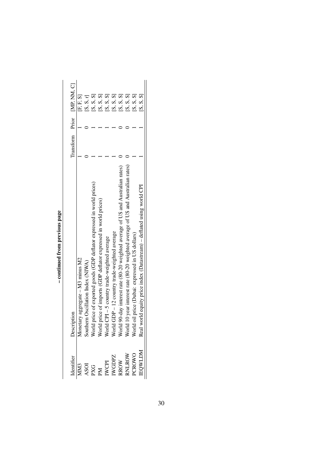|                                                                                                                                                                                              |                                                                                                                                                                                                                                         |  | Transform Prior [MP, NM, C]   |
|----------------------------------------------------------------------------------------------------------------------------------------------------------------------------------------------|-----------------------------------------------------------------------------------------------------------------------------------------------------------------------------------------------------------------------------------------|--|-------------------------------|
| <b>AM3</b>                                                                                                                                                                                   |                                                                                                                                                                                                                                         |  | $[{\rm E}, {\rm E}, {\rm S}]$ |
|                                                                                                                                                                                              |                                                                                                                                                                                                                                         |  | [S, S, r]                     |
| $\begin{array}{l} \text{ASO1} \\ \text{PKG} \\ \text{IM} \\ \text{IN} \\ \text{WCPI} \\ \text{WGPD} \\ \text{NADPZ} \\ \text{RROW} \\ \text{RROW} \\ \text{ROW} \\ \text{PCROW} \end{array}$ |                                                                                                                                                                                                                                         |  | [S, S, S]                     |
|                                                                                                                                                                                              |                                                                                                                                                                                                                                         |  | [S, S, S]                     |
|                                                                                                                                                                                              |                                                                                                                                                                                                                                         |  | [S, S, S]                     |
|                                                                                                                                                                                              |                                                                                                                                                                                                                                         |  | [S, S, S]                     |
|                                                                                                                                                                                              |                                                                                                                                                                                                                                         |  | [S, S, S]                     |
|                                                                                                                                                                                              |                                                                                                                                                                                                                                         |  | [S, S, S]                     |
|                                                                                                                                                                                              |                                                                                                                                                                                                                                         |  | [S, S, S]                     |
| EQWLDM                                                                                                                                                                                       | Description<br>Monetary aggregate – M3 minus M2<br>Southern Oscillation Index (NIWA)<br>World price of exported goods (GDP deflator expressed in world prices)<br>World price of imports (GDP deflator expressed in world prices)<br>Wo |  | [S, S, S]                     |

- continued from previous page – continued from previous page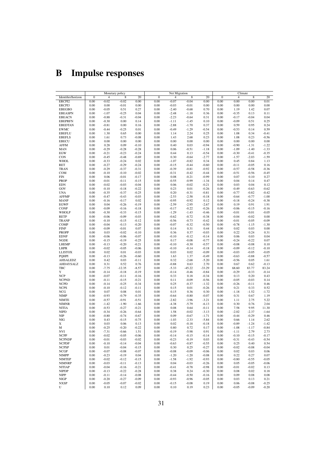# <span id="page-32-0"></span>B Impulse responses

|                    |              |                | Monetary policy |         |                | Net Migration  |          |          |              | Climate        |         |         |
|--------------------|--------------|----------------|-----------------|---------|----------------|----------------|----------|----------|--------------|----------------|---------|---------|
| Identifier/horizon | $\mathbf{0}$ | $\overline{4}$ | 8               | 20      | $\overline{0}$ | $\overline{4}$ | 8        | 20       | $\mathbf{0}$ | $\overline{4}$ | 8       | 20      |
| ERCPI2             | 0.00         | $-0.02$        | $-0.02$         | 0.00    | 0.00           | $-0.07$        | $-0.04$  | 0.00     | 0.00         | 0.00           | 0.00    | 0.01    |
|                    |              |                |                 |         |                |                |          |          |              |                |         |         |
| ERCPI3             | 0.00         | 0.00           | $-0.01$         | 0.00    | 0.00           | $-0.03$        | $-0.01$  | 0.00     | 0.00         | 0.00           | 0.00    | 0.00    |
| <b>EBEGBO</b>      | 0.00         | $-0.05$        | 0.51            | 0.27    | 0.00           | $-2.40$        | $-0.68$  | 0.70     | 0.00         | 1.19           | 1.42    | 0.07    |
| <b>EBEASPN</b>     | 0.00         | $-1.07$        | $-0.25$         | 0.04    | 0.00           | $-2.48$        | $-1.18$  | 0.36     | 0.00         | $-0.35$        | 0.13    | 0.11    |
| <b>EBEACN</b>      | 0.00         | $-0.88$        | $-0.31$         | $-0.04$ | 0.00           | $-2.23$        | $-0.64$  | 0.31     | 0.00         | $-0.17$        | $-0.04$ | 0.04    |
| <b>EBEPRFN</b>     | 0.00         | $-0.30$        | 0.00            | 0.14    | 0.00           | $-1.11$        | $-1.45$  | 0.10     | 0.00         | $-0.09$        | 0.51    | 0.25    |
| <b>EBEDTAN</b>     | 0.00         | $-0.81$        |                 |         | 0.00           | $-2.88$        | $-1.70$  | 0.37     | 0.00         | 0.59           | 0.95    | 0.24    |
|                    |              |                | 0.00            | 0.16    |                |                |          |          |              |                |         |         |
| <b>EWMC</b>        | 0.00         | $-0.44$        | $-0.25$         | 0.01    | 0.00           | $-0.49$        | $-1.29$  | $-0.54$  | 0.00         | $-0.53$        | 0.14    | 0.59    |
| <b>EBEFLU</b>      | 0.00         | 1.30           | 0.65            | 0.00    | 0.00           | 1.14           | 2.24     | 0.25     | 0.00         | 1.08           | 0.34    | $-0.41$ |
| <b>EBEFLS</b>      | 0.00         | 1.61           | 0.73            | $-0.08$ | 0.00           | 1.43           | 2.68     | 0.23     | 0.00         | 1.08           | 0.23    | $-0.56$ |
| <b>EBECU</b>       | 0.00         | 0.00           | 0.00            | 0.00    | 0.00           | 0.00           | $0.00\,$ | 0.00     | 0.00         | 0.00           | 0.00    | 0.00    |
| <b>AFFM</b>        | 0.00         | 0.28           | 0.09            | $-0.10$ | 0.00           | 0.40           | 0.03     | $-0.94$  | 0.00         | $-0.90$        | $-1.31$ | $-1.22$ |
|                    |              |                |                 |         |                |                |          |          |              |                |         |         |
| <b>MAN</b>         | 0.00         | $-0.29$        | $-0.28$         | $-0.28$ | 0.00           | 0.06           | $-0.51$  | $-1.18$  | 0.00         | $-1.09$        | $-1.40$ | $-1.33$ |
| EGW                | 0.00         | $-0.21$        | $-0.23$         | $-0.24$ | 0.00           | 0.44           | 0.13     | $-0.54$  | 0.00         | $-0.30$        | $-0.41$ | $-0.35$ |
| CON                | 0.00         | $-0.45$        | $-0.48$         | $-0.69$ | 0.00           | 0.30           | $-0.64$  | $-2.77$  | 0.00         | $-1.57$        | $-2.03$ | $-1.59$ |
| <b>WHOL</b>        | 0.00         | $-0.33$        | $-0.24$         | 0.02    | 0.00           | $-1.07$        | $-0.82$  | 0.34     | 0.00         | 0.45           | 0.84    | 1.13    |
| <b>RET</b>         | 0.00         | $-0.27$        | $-0.29$         | $-0.24$ | 0.00           | $-0.15$        | $-0.44$  | $-0.60$  | 0.00         | $-0.11$        | $-0.05$ | 0.16    |
|                    |              |                |                 |         |                |                |          |          |              |                |         |         |
| <b>TRAN</b>        | 0.00         | $-0.29$        | $-0.37$         | $-0.31$ | 0.00           | $-0.39$        | $-0.81$  | $-0.92$  | 0.00         | $-0.57$        | $-0.58$ | $-0.36$ |
| COM                | 0.00         | $-0.10$        | $-0.10$         | $-0.02$ | 0.00           | $-0.31$        | $-0.42$  | $-0.44$  | 0.00         | $-0.51$        | $-0.56$ | $-0.45$ |
| <b>FIN</b>         | 0.00         | 0.06           | $-0.01$         | $-0.17$ | 0.00           | 0.08           | $-0.21$  | $-0.99$  | 0.00         | 0.07           | 0.10    | 0.27    |
| <b>PROP</b>        | 0.00         | $-0.01$        | $-0.11$         | $-0.15$ | 0.00           | $-0.55$        | $-0.99$  | $-1.34$  | 0.00         | 0.04           | 0.14    | 0.47    |
| <b>EDN</b>         | 0.00         | $-0.02$        | $-0.03$         | $-0.04$ | 0.00           | 0.06           | $-0.02$  | $-0.21$  | 0.00         | 0.03           | 0.04    | 0.12    |
| GOV                | 0.00         | $-0.10$        | $-0.18$         | $-0.22$ | 0.00           | 0.23           | 0.01     | $-0.26$  | 0.00         | $-0.49$        | $-0.63$ | $-0.62$ |
|                    |              |                |                 |         |                |                |          |          |              |                |         |         |
| <b>UNA</b>         | 0.00         | $-0.35$        | $-0.37$         | $-0.25$ | 0.00           | 0.20           | $-0.31$  | $-0.81$  | 0.00         | $-0.77$        | $-0.82$ | $-0.42$ |
| <b>AFFMP</b>       | 0.00         | $-0.47$        | $-0.43$         | $-0.03$ | 0.00           | $-2.53$        | $-2.58$  | $-0.18$  | 0.00         | $-0.64$        | $-0.77$ | $-1.00$ |
| <b>MANP</b>        | 0.00         | $-0.16$        | $-0.17$         | 0.02    | 0.00           | $-0.95$        | $-0.92$  | 0.12     | 0.00         | $-0.18$        | $-0.24$ | $-0.38$ |
| <b>EGWP</b>        | 0.00         | 0.04           | $-0.26$         | $-0.19$ | 0.00           | $-2.59$        | $-2.95$  | $-2.67$  | 0.00         | 0.19           | 0.91    | 1.91    |
| <b>CONP</b>        | 0.00         | $-0.09$        | $-0.16$         | $-0.18$ | 0.00           | $-0.17$        | $-0.22$  | $-0.26$  | 0.00         | $-0.06$        | $-0.15$ | $-0.16$ |
|                    |              |                |                 |         |                |                |          |          |              |                |         |         |
| <b>WHOLP</b>       | 0.00         | $-0.30$        | $-0.33$         | $-0.15$ | 0.00           | $-1.29$        | $-1.43$  | $-0.46$  | 0.00         | $-0.01$        | $-0.01$ | $-0.05$ |
| <b>RETP</b>        | 0.00         | $-0.06$        | $-0.09$         | $-0.03$ | 0.00           | $-0.62$        | $-0.72$  | $-0.38$  | 0.00         | $-0.04$        | $-0.02$ | 0.00    |
| <b>TRANP</b>       | 0.00         | $-0.10$        | $-0.15$         | $-0.12$ | 0.00           | $-0.56$        | $-0.73$  | $-0.42$  | 0.00         | $-0.01$        | $-0.05$ | $-0.09$ |
| <b>COMP</b>        | 0.00         | $-0.04$        | $-0.13$         | $-0.20$ | 0.00           | $-0.07$        | $-0.32$  | $-0.50$  | 0.00         | $-0.78$        | $-1.15$ | $-1.30$ |
| <b>FINP</b>        | 0.00         | $-0.09$        | $-0.01$         | 0.07    | 0.00           | 0.14           | 0.31     | 0.44     | 0.00         | 0.02           | 0.03    | 0.00    |
| <b>PROPP</b>       | 0.00         | 0.03           | $-0.02$         | $-0.10$ | 0.00           | 0.36           | 0.37     | $-0.03$  | 0.00         | 0.22           | 0.24    | 0.31    |
|                    |              |                |                 |         |                |                |          |          |              |                |         |         |
| <b>EDNP</b>        | 0.00         | $-0.06$        | $-0.06$         | $-0.07$ | 0.00           | $-0.10$        | $-0.12$  | $-0.14$  | 0.00         | 0.06           | 0.03    | 0.04    |
| NGDE               | 0.00         | $-0.15$        | $-0.19$         | $-0.25$ | 0.00           | 0.17           | $-0.08$  | $-0.77$  | 0.00         | $-0.24$        | $-0.22$ | 0.07    |
| <b>LHEMP</b>       | 0.00         | $-0.13$        | $-0.20$         | $-0.21$ | 0.00           | $-0.10$        | $-0.30$  | $-0.57$  | 0.00         | $-0.08$        | $-0.08$ | 0.10    |
| LHPR               | 0.00         | $-0.02$        | $-0.05$         | $-0.06$ | 0.00           | $-0.10$        | $-0.14$  | $-0.18$  | 0.00         | $-0.09$        | $-0.12$ | $-0.10$ |
| <b>LLISTOX</b>     | 0.00         | 0.02           | 0.01            | $-0.03$ | 0.00           | 0.03           | 0.02     | $-0.09$  | 0.00         | $-0.03$        | $-0.05$ | $-0.05$ |
|                    |              |                |                 |         |                |                |          |          |              |                |         |         |
| <b>POHPI</b>       | 0.00         | $-0.13$        | $-0.26$         | $-0.60$ | 0.00           | 1.63           | 1.37     | $-0.49$  | 0.00         | $-0.63$        | $-0.88$ | $-0.57$ |
| AHSALEDZ           | 0.00         | 0.42           | 0.03            | $-0.11$ | 0.00           | 0.32           | $-2.68$  | $-5.20$  | 0.00         | $-0.56$        | 0.05    | 1.61    |
| AHDAYSALZ          | 0.00         | 0.31           | 0.52            | 0.76    | 0.00           | $-0.88$        | 0.63     | 2.70     | 0.00         | 0.67           | 0.62    | $-0.13$ |
| TBC                | 0.00         | $-7.75$        | $-12.35$        | $-8.57$ | 0.00           | $-5.33$        | $-45.22$ | $-33.29$ | 0.00         | 68.60          | 83.77   | 83.24   |
| Y                  | 0.00         | $-0.14$        | $-0.18$         | $-0.19$ | 0.00           | $-0.14$        | $-0.46$  | $-0.84$  | 0.00         | $-0.29$        | $-0.33$ | $-0.14$ |
| <b>NCP</b>         | 0.00         | $-0.07$        | $-0.11$         | $-0.16$ | 0.00           | 0.33           | 0.18     | $-0.34$  | 0.00         | 0.13           | 0.20    | 0.43    |
|                    |              |                |                 |         |                |                |          |          |              |                |         |         |
| <b>NCPND</b>       | 0.00         | $-0.11$        | $-0.15$         | $-0.21$ | 0.00           | 0.11           | $-0.09$  | $-0.56$  | 0.00         | $-0.05$        | $-0.03$ | 0.14    |
| <b>NCPD</b>        | 0.00         | $-0.14$        | $-0.25$         | $-0.34$ | 0.00           | 0.25           | $-0.37$  | $-1.32$  | 0.00         | $-0.26$        | $-0.11$ | 0.46    |
| <b>NCPS</b>        | 0.00         | $-0.10$        | $-0.12$         | $-0.11$ | 0.00           | 0.15           | 0.01     | $-0.26$  | 0.00         | 0.21           | 0.33    | 0.52    |
| NCG                | 0.00         | 0.07           | 0.08            | 0.01    | 0.00           | 0.15           | 0.36     | 0.30     | 0.00         | $-1.18$        | $-1.52$ | $-1.72$ |
| <b>NIMP</b>        | 0.00         | $-0.93$        | $-0.79$         | $-0.35$ | 0.00           | $-0.64$        | $-0.80$  | $-0.07$  | 0.00         | 0.31           | 0.67    | 1.19    |
| <b>NIMTE</b>       |              | $-0.57$        | $-0.91$         | $-0.51$ | 0.00           | $-2.82$        | $-3.96$  | $-3.21$  | 0.00         | 1.11           | 2.75    | 5.22    |
|                    | 0.00         |                |                 |         |                |                |          |          |              |                |         |         |
| <b>NIMNR</b>       | 0.00         | $-1.42$        | $-1.90$         | $-1.66$ | 0.00           | $-4.38$        | $-5.79$  | $-6.13$  | 0.00         | 0.30           | 0.76    | 2.04    |
| <b>NITIA</b>       | 0.00         | $-0.53$        | $-0.27$         | $-0.21$ | 0.00           | 0.08           | 0.64     | $-0.11$  | 0.00         | 7.58           | 9.95    | 11.30   |
| <b>NIPD</b>        | 0.00         | $-0.34$        | $-0.26$         | $-0.64$ | 0.00           | 1.58           | $-0.02$  | $-3.13$  | 0.00         | $-2.02$        | $-2.37$ | $-1.64$ |
| <b>NIP</b>         | 0.00         | $-0.80$        | $-0.74$         | $-0.67$ | 0.00           | 0.09           | $-0.67$  | $-1.71$  | 0.00         | $-0.44$        | $-0.29$ | 0.46    |
| <b>NIG</b>         | 0.00         | 0.43           | $-0.15$         | $-0.75$ | 0.00           | $-1.03$        | $-2.33$  | $-5.84$  | 0.00         | 0.66           | 1.14    | 2.62    |
| X                  |              |                |                 |         |                |                | $-0.18$  | $-0.18$  | 0.00         |                | $-1.24$ | $-1.42$ |
|                    | 0.00         | 0.03           | 0.06            | 0.13    | 0.00           | 0.02           |          |          |              | $-0.89$        |         |         |
| M                  | 0.00         | $-0.25$        | $-0.20$         | $-0.22$ | 0.00           | 0.80           | 0.72     | 0.17     | 0.00         | $-1.08$        | $-1.17$ | $-0.84$ |
| NVI                | 0.00         | $-7.31$        | $-0.66$         | 1.51    | 0.00           | $-0.19$        | $-5.98$  | 0.91     | 0.00         | $-1.11$        | 2.79    | 2.73    |
| <b>NCPP</b>        | 0.00         | $-0.02$        | $-0.05$         | $-0.06$ | 0.00           | $-0.14$        | $-0.15$  | $-0.14$  | 0.00         | $-0.10$        | $-0.15$ | $-0.17$ |
| <b>NCPNDP</b>      | 0.00         | $-0.01$        | $-0.03$         | $-0.02$ | 0.00           | $-0.23$        | $-0.19$  | 0.03     | 0.00         | $-0.31$        | $-0.43$ | $-0.54$ |
| <b>NCPDP</b>       | 0.00         | $-0.10$        | $-0.14$         | $-0.04$ | 0.00           | $-0.63$        | $-0.87$  | $-0.55$  | 0.00         | 0.25           | 0.40    | 0.54    |
|                    |              |                |                 |         |                |                |          |          |              |                |         |         |
| <b>NCPSP</b>       | 0.00         | 0.01           | $-0.04$         | $-0.15$ | 0.00           | 0.30           | 0.25     | $-0.27$  | 0.00         | $-0.02$        | $-0.08$ | $-0.04$ |
| <b>NCGP</b>        | 0.00         | $-0.07$        | $-0.08$         | $-0.07$ | 0.00           | $-0.08$        | $-0.09$  | $-0.06$  | 0.00         | 0.02           | 0.03    | 0.06    |
| <b>NIMPP</b>       | 0.00         | $-0.23$        | $-0.19$         | 0.04    | 0.00           | $-1.20$        | $-1.20$  | $-0.08$  | 0.00         | 0.22           | 0.27    | 0.07    |
| <b>NIMTEP</b>      | 0.00         | $-0.02$        | $-0.12$         | $-0.15$ | 0.00           | $-1.58$        | $-1.92$  | $-0.93$  | 0.00         | $-0.80$        | $-0.55$ | $-0.05$ |
| <b>NIMNRP</b>      | 0.00         | $-0.03$        | $-0.11$         | $-0.13$ | 0.00           | 0.04           | $-0.03$  | $-0.26$  | 0.00         | 0.05           | $-0.05$ | $-0.06$ |
| <b>NITIAP</b>      | 0.00         | $-0.04$        | $-0.16$         | $-0.21$ | 0.00           | $-0.41$        | $-0.78$  | $-0.98$  | 0.00         | $-0.01$        | $-0.02$ | 0.13    |
|                    |              |                |                 |         |                |                |          |          |              |                |         |         |
| <b>NIPDP</b>       | 0.00         | $-0.13$        | $-0.22$         | $-0.28$ | 0.00           | 0.38           | 0.24     | $-0.30$  | 0.00         | 0.08           | 0.02    | 0.18    |
| <b>NIPP</b>        | 0.00         | $-0.11$        | $-0.14$         | $-0.08$ | 0.00           | $-0.44$        | $-0.50$  | $-0.16$  | 0.00         | 0.09           | 0.08    | 0.08    |
| <b>NIGP</b>        | 0.00         | $-0.20$        | $-0.27$         | $-0.09$ | 0.00           | $-0.93$        | $-0.96$  | $-0.05$  | 0.00         | 0.03           | 0.13    | 0.21    |
| <b>NXSP</b>        | 0.00         | $-0.05$        | $-0.07$         | $-0.02$ | 0.00           | $-0.15$        | $-0.08$  | 0.19     | 0.00         | 0.06           | $-0.08$ | $-0.25$ |
| U                  | 0.00         | 0.10           | 0.12            | 0.09    | 0.00           | 0.10           | 0.19     | 0.23     | 0.00         | $-0.05$        | $-0.09$ | $-0.20$ |
|                    |              |                |                 |         |                |                |          |          |              |                |         |         |